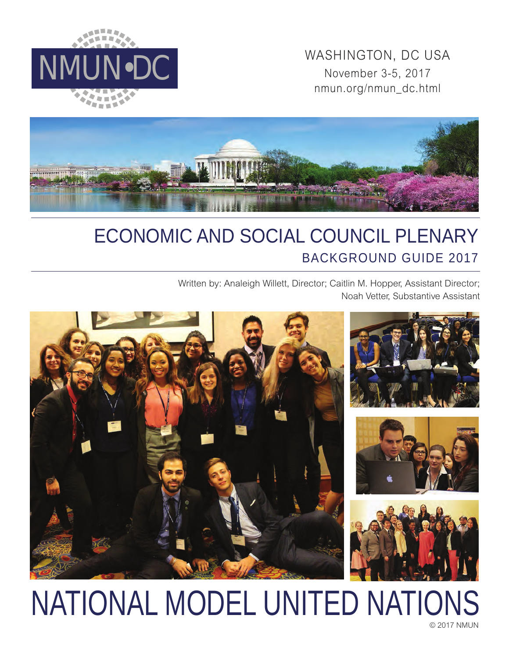

WASHINGTON, DC USA<br>November 3-5, 2017 November 3-5, 2017 nmun.org/nmun\_dc.html



# ECONOMIC AND SOCIAL COUNCIL PLENARY BACKGROUND GUIDE 2017

Written by: Analeigh Willett, Director; Caitlin M. Hopper, Assistant Director; Noah Vetter, Substantive Assistant



# © 2017 NMUN NATIONAL MODEL UNITED NATIONS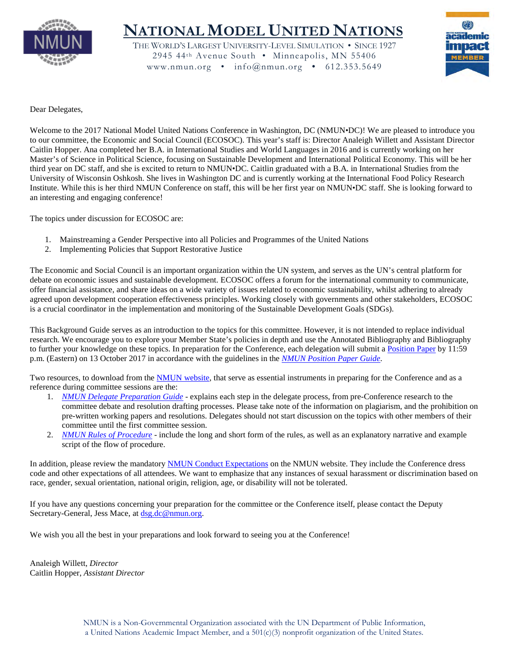

# **NATIONAL MODEL UNITED NATIONS**

THE WORLD'S LARGEST UNIVERSITY-LEVEL SIMULATION • SINCE 1927 2945 44th Avenue South • Minneapolis, MN 55406 www.nmun.org • info@nmun.org • 612.353.5649



Dear Delegates,

Welcome to the 2017 National Model United Nations Conference in Washington, DC (NMUN•DC)! We are pleased to introduce you to our committee, the Economic and Social Council (ECOSOC). This year's staff is: Director Analeigh Willett and Assistant Director Caitlin Hopper. Ana completed her B.A. in International Studies and World Languages in 2016 and is currently working on her Master's of Science in Political Science, focusing on Sustainable Development and International Political Economy. This will be her third year on DC staff, and she is excited to return to NMUN•DC. Caitlin graduated with a B.A. in International Studies from the University of Wisconsin Oshkosh. She lives in Washington DC and is currently working at the International Food Policy Research Institute. While this is her third NMUN Conference on staff, this will be her first year on NMUN•DC staff. She is looking forward to an interesting and engaging conference!

The topics under discussion for ECOSOC are:

- 1. Mainstreaming a Gender Perspective into all Policies and Programmes of the United Nations
- 2. Implementing Policies that Support Restorative Justice

The Economic and Social Council is an important organization within the UN system, and serves as the UN's central platform for debate on economic issues and sustainable development. ECOSOC offers a forum for the international community to communicate, offer financial assistance, and share ideas on a wide variety of issues related to economic sustainability, whilst adhering to already agreed upon development cooperation effectiveness principles. Working closely with governments and other stakeholders, ECOSOC is a crucial coordinator in the implementation and monitoring of the Sustainable Development Goals (SDGs).

This Background Guide serves as an introduction to the topics for this committee. However, it is not intended to replace individual research. We encourage you to explore your Member State's policies in depth and use the Annotated Bibliography and Bibliography to further your knowledge on these topics. In preparation for the Conference, each delegation will submit a [Position Paper](http://nmun.org/dc_position_papers.html) by 11:59 p.m. (Eastern) on 13 October 2017 in accordance with the guidelines in the *[NMUN Position Paper Guide](http://nmun.org/downloads/NMUNPPGuide.pdf)*.

Two resources, to download from the [NMUN website,](http://nmun.org/dc_preparations.html) that serve as essential instruments in preparing for the Conference and as a reference during committee sessions are the:

- 1. *[NMUN Delegate Preparation Guide](http://nmun.org/downloads/NMUNDelegatePrepGuide.pdf)* explains each step in the delegate process, from pre-Conference research to the committee debate and resolution drafting processes. Please take note of the information on plagiarism, and the prohibition on pre-written working papers and resolutions. Delegates should not start discussion on the topics with other members of their committee until the first committee session.
- 2. *[NMUN Rules of Procedure](http://nmun.org/downloads/NMUNRules.pdf)* include the long and short form of the rules, as well as an explanatory narrative and example script of the flow of procedure.

In addition, please review the mandatory [NMUN Conduct](http://nmun.org/policies_codes.html) Expectations on the NMUN website. They include the Conference dress code and other expectations of all attendees. We want to emphasize that any instances of sexual harassment or discrimination based on race, gender, sexual orientation, national origin, religion, age, or disability will not be tolerated.

If you have any questions concerning your preparation for the committee or the Conference itself, please contact the Deputy Secretary-General, Jess Mace, at [dsg.dc@nmun.org.](mailto:dsg.dc@nmun.org)

We wish you all the best in your preparations and look forward to seeing you at the Conference!

Analeigh Willett, *Director* Caitlin Hopper, *Assistant Director*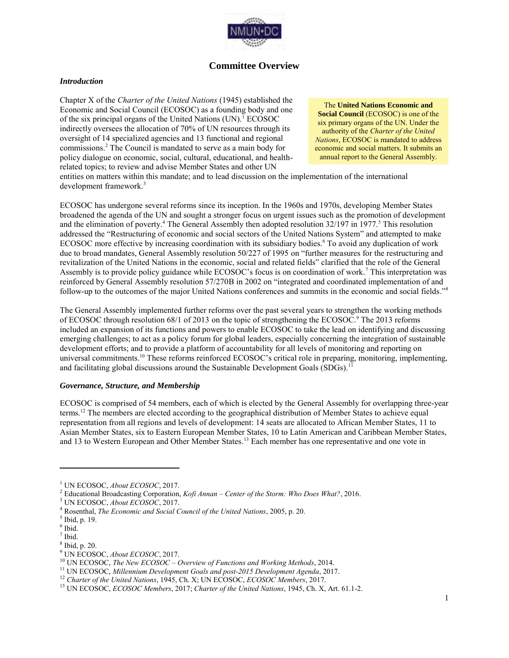

# **Committee Overview**

#### *Introduction*

Chapter X of the *Charter of the United Nations* (1945) established the Economic and Social Council (ECOSOC) as a founding body and one of the six principal organs of the United Nations (UN).<sup>1</sup> ECOSOC indirectly oversees the allocation of 70% of UN resources through its oversight of 14 specialized agencies and 13 functional and regional commissions.<sup>2</sup> The Council is mandated to serve as a main body for policy dialogue on economic, social, cultural, educational, and healthrelated topics; to review and advise Member States and other UN

The **United Nations Economic and Social Council (ECOSOC)** is one of the six primary organs of the UN. Under the authority of the *Charter of the United Nations*, ECOSOC is mandated to address economic and social matters. It submits an annual report to the General Assembly.

entities on matters within this mandate; and to lead discussion on the implementation of the international development framework.<sup>3</sup>

ECOSOC has undergone several reforms since its inception. In the 1960s and 1970s, developing Member States broadened the agenda of the UN and sought a stronger focus on urgent issues such as the promotion of development and the elimination of poverty.<sup>4</sup> The General Assembly then adopted resolution 32/197 in 1977.<sup>5</sup> This resolution addressed the "Restructuring of economic and social sectors of the United Nations System" and attempted to make ECOSOC more effective by increasing coordination with its subsidiary bodies.<sup>6</sup> To avoid any duplication of work due to broad mandates, General Assembly resolution 50/227 of 1995 on "further measures for the restructuring and revitalization of the United Nations in the economic, social and related fields" clarified that the role of the General Assembly is to provide policy guidance while ECOSOC's focus is on coordination of work.<sup>7</sup> This interpretation was reinforced by General Assembly resolution 57/270B in 2002 on "integrated and coordinated implementation of and follow-up to the outcomes of the major United Nations conferences and summits in the economic and social fields."<sup>8</sup>

The General Assembly implemented further reforms over the past several years to strengthen the working methods of ECOSOC through resolution 68/1 of 2013 on the topic of strengthening the ECOSOC.<sup>9</sup> The 2013 reforms included an expansion of its functions and powers to enable ECOSOC to take the lead on identifying and discussing emerging challenges; to act as a policy forum for global leaders, especially concerning the integration of sustainable development efforts; and to provide a platform of accountability for all levels of monitoring and reporting on universal commitments.<sup>10</sup> These reforms reinforced ECOSOC's critical role in preparing, monitoring, implementing, and facilitating global discussions around the Sustainable Development Goals (SDGs).<sup>11</sup>

#### *Governance, Structure, and Membership*

ECOSOC is comprised of 54 members, each of which is elected by the General Assembly for overlapping three-year terms.<sup>12</sup> The members are elected according to the geographical distribution of Member States to achieve equal representation from all regions and levels of development: 14 seats are allocated to African Member States, 11 to Asian Member States, six to Eastern European Member States, 10 to Latin American and Caribbean Member States, and 13 to Western European and Other Member States.<sup>13</sup> Each member has one representative and one vote in

 $\overline{a}$ 

9 UN ECOSOC, *About ECOSOC*, 2017.

<sup>1</sup> UN ECOSOC, *About ECOSOC*, 2017.

<sup>2</sup> Educational Broadcasting Corporation, *Kofi Annan – Center of the Storm: Who Does What?*, 2016.

<sup>3</sup> UN ECOSOC, *About ECOSOC*, 2017.

<sup>4</sup> Rosenthal, *The Economic and Social Council of the United Nations*, 2005, p. 20.

<sup>5</sup> Ibid, p. 19.

<sup>6</sup> Ibid.

 $<sup>7</sup>$  Ibid.</sup>

<sup>8</sup> Ibid, p. 20.

<sup>10</sup> UN ECOSOC, *The New ECOSOC – Overview of Functions and Working Methods*, 2014.

<sup>11</sup> UN ECOSOC, *Millennium Development Goals and post-2015 Development Agenda*, 2017.

<sup>12</sup> *Charter of the United Nations*, 1945, Ch. X; UN ECOSOC, *ECOSOC Members*, 2017.

<sup>13</sup> UN ECOSOC, *ECOSOC Members*, 2017; *Charter of the United Nations*, 1945, Ch. X, Art. 61.1-2.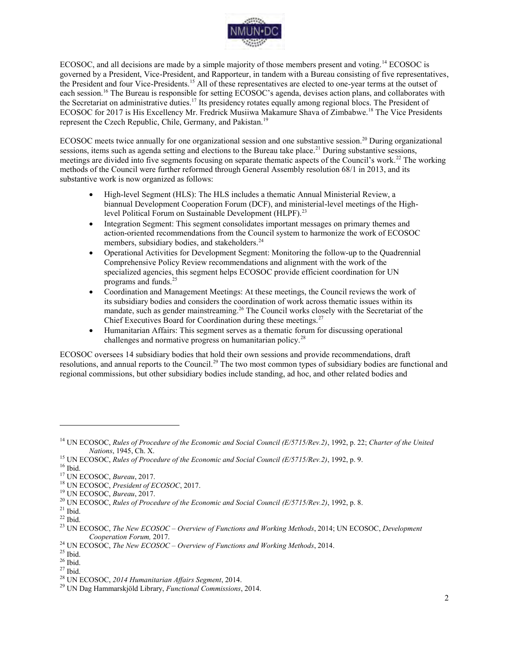

ECOSOC, and all decisions are made by a simple majority of those members present and voting.<sup>14</sup> ECOSOC is governed by a President, Vice-President, and Rapporteur, in tandem with a Bureau consisting of five representatives, the President and four Vice-Presidents.<sup>15</sup> All of these representatives are elected to one-year terms at the outset of each session.<sup>16</sup> The Bureau is responsible for setting ECOSOC's agenda, devises action plans, and collaborates with the Secretariat on administrative duties.<sup>17</sup> Its presidency rotates equally among regional blocs. The President of ECOSOC for 2017 is His Excellency Mr. Fredrick Musiiwa Makamure Shava of Zimbabwe.<sup>18</sup> The Vice Presidents represent the Czech Republic, Chile, Germany, and Pakistan.<sup>19</sup>

ECOSOC meets twice annually for one organizational session and one substantive session.<sup>20</sup> During organizational sessions, items such as agenda setting and elections to the Bureau take place.<sup>21</sup> During substantive sessions, meetings are divided into five segments focusing on separate thematic aspects of the Council's work.<sup>22</sup> The working methods of the Council were further reformed through General Assembly resolution 68/1 in 2013, and its substantive work is now organized as follows:

- High-level Segment (HLS): The HLS includes a thematic Annual Ministerial Review, a biannual Development Cooperation Forum (DCF), and ministerial-level meetings of the Highlevel Political Forum on Sustainable Development (HLPF).<sup>23</sup>
- Integration Segment: This segment consolidates important messages on primary themes and action-oriented recommendations from the Council system to harmonize the work of ECOSOC members, subsidiary bodies, and stakeholders.<sup>24</sup>
- Operational Activities for Development Segment: Monitoring the follow-up to the Quadrennial Comprehensive Policy Review recommendations and alignment with the work of the specialized agencies, this segment helps ECOSOC provide efficient coordination for UN programs and funds.<sup>25</sup>
- Coordination and Management Meetings: At these meetings, the Council reviews the work of its subsidiary bodies and considers the coordination of work across thematic issues within its mandate, such as gender mainstreaming.<sup>26</sup> The Council works closely with the Secretariat of the Chief Executives Board for Coordination during these meetings.<sup>27</sup>
- Humanitarian Affairs: This segment serves as a thematic forum for discussing operational challenges and normative progress on humanitarian policy.<sup>28</sup>

ECOSOC oversees 14 subsidiary bodies that hold their own sessions and provide recommendations, draft resolutions, and annual reports to the Council.<sup>29</sup> The two most common types of subsidiary bodies are functional and regional commissions, but other subsidiary bodies include standing, ad hoc, and other related bodies and

<sup>14</sup> UN ECOSOC, *Rules of Procedure of the Economic and Social Council (E/5715/Rev.2)*, 1992, p. 22; *Charter of the United Nations*, 1945, Ch. X.

<sup>15</sup> UN ECOSOC, *Rules of Procedure of the Economic and Social Council (E/5715/Rev.2)*, 1992, p. 9.

 $16$  Ibid.

<sup>17</sup> UN ECOSOC, *Bureau*, 2017.

<sup>18</sup> UN ECOSOC, *President of ECOSOC*, 2017.

<sup>19</sup> UN ECOSOC, *Bureau*, 2017.

<sup>20</sup> UN ECOSOC, *Rules of Procedure of the Economic and Social Council (E/5715/Rev.2)*, 1992, p. 8.

 $21$  Ibid.

 $^{22}$  Ibid.

<sup>23</sup> UN ECOSOC, *The New ECOSOC – Overview of Functions and Working Methods*, 2014; UN ECOSOC, *Development Cooperation Forum,* 2017.

<sup>24</sup> UN ECOSOC, *The New ECOSOC – Overview of Functions and Working Methods*, 2014.

 $25$  Ibid.

<sup>26</sup> Ibid.

 $27$  Ibid.

<sup>28</sup> UN ECOSOC, *2014 Humanitarian Affairs Segment*, 2014.

<sup>29</sup> UN Dag Hammarskjöld Library, *Functional Commissions*, 2014.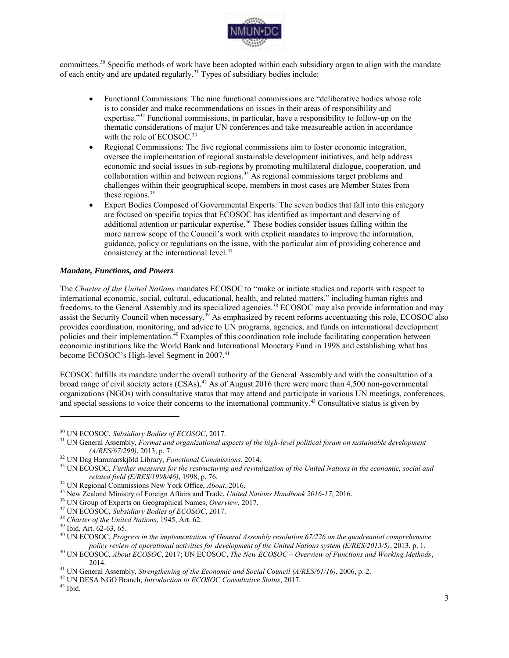

committees.<sup>30</sup> Specific methods of work have been adopted within each subsidiary organ to align with the mandate of each entity and are updated regularly.<sup>31</sup> Types of subsidiary bodies include:

- Functional Commissions: The nine functional commissions are "deliberative bodies whose role is to consider and make recommendations on issues in their areas of responsibility and expertise."<sup>32</sup> Functional commissions, in particular, have a responsibility to follow-up on the thematic considerations of major UN conferences and take measureable action in accordance with the role of ECOSOC.<sup>33</sup>
- Regional Commissions: The five regional commissions aim to foster economic integration, oversee the implementation of regional sustainable development initiatives, and help address economic and social issues in sub-regions by promoting multilateral dialogue, cooperation, and collaboration within and between regions.<sup>34</sup> As regional commissions target problems and challenges within their geographical scope, members in most cases are Member States from these regions. $35$
- Expert Bodies Composed of Governmental Experts: The seven bodies that fall into this category are focused on specific topics that ECOSOC has identified as important and deserving of additional attention or particular expertise.<sup>36</sup> These bodies consider issues falling within the more narrow scope of the Council's work with explicit mandates to improve the information, guidance, policy or regulations on the issue, with the particular aim of providing coherence and consistency at the international level.<sup>37</sup>

#### *Mandate, Functions, and Powers*

The *Charter of the United Nations* mandates ECOSOC to "make or initiate studies and reports with respect to international economic, social, cultural, educational, health, and related matters," including human rights and freedoms, to the General Assembly and its specialized agencies.<sup>38</sup> ECOSOC may also provide information and may assist the Security Council when necessary.<sup>39</sup> As emphasized by recent reforms accentuating this role, ECOSOC also provides coordination, monitoring, and advice to UN programs, agencies, and funds on international development policies and their implementation.<sup>40</sup> Examples of this coordination role include facilitating cooperation between economic institutions like the World Bank and International Monetary Fund in 1998 and establishing what has become ECOSOC's High-level Segment in 2007.<sup>41</sup>

ECOSOC fulfills its mandate under the overall authority of the General Assembly and with the consultation of a broad range of civil society actors (CSAs).<sup>42</sup> As of August 2016 there were more than 4,500 non-governmental organizations (NGOs) with consultative status that may attend and participate in various UN meetings, conferences, and special sessions to voice their concerns to the international community.<sup>43</sup> Consultative status is given by

<sup>30</sup> UN ECOSOC, *Subsidiary Bodies of ECOSOC*, 2017.

<sup>&</sup>lt;sup>31</sup> UN General Assembly, *Format and organizational aspects of the high-level political forum on sustainable development (A/RES/67/290)*, 2013, p. 7.

<sup>32</sup> UN Dag Hammarskjöld Library, *Functional Commissions*, 2014.

<sup>33</sup> UN ECOSOC, *Further measures for the restructuring and revitalization of the United Nations in the economic, social and related field (E/RES/1998/46)*, 1998, p. 76.

<sup>34</sup> UN Regional Commissions New York Office, *About*, 2016.

<sup>35</sup> New Zealand Ministry of Foreign Affairs and Trade, *United Nations Handbook 2016-17*, 2016.

<sup>36</sup> UN Group of Experts on Geographical Names, *Overview*, 2017.

<sup>37</sup> UN ECOSOC, *Subsidiary Bodies of ECOSOC*, 2017.

<sup>38</sup> *Charter of the United Nations*, 1945, Art. 62.

<sup>39</sup> Ibid, Art. 62-63, 65.

<sup>40</sup> UN ECOSOC, *Progress in the implementation of General Assembly resolution 67/226 on the quadrennial comprehensive policy review of operational activities for development of the United Nations system (E/RES/2013/5)*, 2013, p. 1.

<sup>40</sup> UN ECOSOC, *About ECOSOC*, 2017; UN ECOSOC, *The New ECOSOC – Overview of Functions and Working Methods*, 2014.

<sup>41</sup> UN General Assembly, *Strengthening of the Economic and Social Council (A/RES/61/16)*, 2006, p. 2.

<sup>42</sup> UN DESA NGO Branch, *Introduction to ECOSOC Consultative Status*, 2017.

<sup>43</sup> Ibid.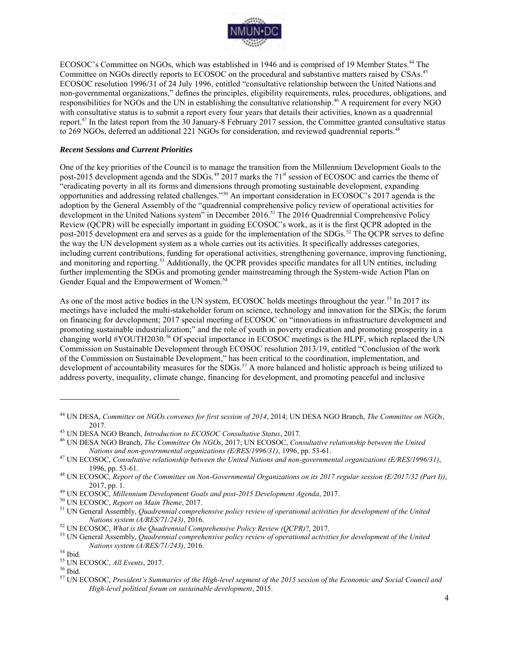

ECOSOC's Committee on NGOs, which was established in 1946 and is comprised of 19 Member States.<sup>44</sup> The Committee on NGOs directly reports to ECOSOC on the procedural and substantive matters raised by CSAs.<sup>45</sup> ECOSOC resolution 1996/31 of 24 July 1996, entitled "consultative relationship between the United Nations and non-governmental organizations," defines the principles, eligibility requirements, rules, procedures, obligations, and responsibilities for NGOs and the UN in establishing the consultative relationship.<sup>46</sup> A requirement for every NGO with consultative status is to submit a report every four years that details their activities, known as a quadrennial report.<sup>47</sup> In the latest report from the 30 January-8 February 2017 session, the Committee granted consultative status to 269 NGOs, deferred an additional 221 NGOs for consideration, and reviewed quadrennial reports.<sup>48</sup>

#### *Recent Sessions and Current Priorities*

One of the key priorities of the Council is to manage the transition from the Millennium Development Goals to the post-2015 development agenda and the SDGs.<sup>49</sup> 2017 marks the 71<sup>st</sup> session of ECOSOC and carries the theme of "eradicating poverty in all its forms and dimensions through promoting sustainable development, expanding opportunities and addressing related challenges."<sup>50</sup> An important consideration in ECOSOC's 2017 agenda is the adoption by the General Assembly of the "quadrennial comprehensive policy review of operational activities for development in the United Nations system" in December 2016.<sup>51</sup> The 2016 Quadrennial Comprehensive Policy Review (QCPR) will be especially important in guiding ECOSOC's work, as it is the first QCPR adopted in the post-2015 development era and serves as a guide for the implementation of the SDGs.<sup>52</sup> The QCPR serves to define the way the UN development system as a whole carries out its activities. It specifically addresses categories, including current contributions, funding for operational activities, strengthening governance, improving functioning, and monitoring and reporting.<sup>53</sup> Additionally, the QCPR provides specific mandates for all UN entities, including further implementing the SDGs and promoting gender mainstreaming through the System-wide Action Plan on Gender Equal and the Empowerment of Women.<sup>54</sup>

As one of the most active bodies in the UN system, ECOSOC holds meetings throughout the year.<sup>55</sup> In 2017 its meetings have included the multi-stakeholder forum on science, technology and innovation for the SDGs; the forum on financing for development; 2017 special meeting of ECOSOC on "innovations in infrastructure development and promoting sustainable industrialization;" and the role of youth in poverty eradication and promoting prosperity in a changing world #YOUTH2030.<sup>56</sup> Of special importance in ECOSOC meetings is the HLPF, which replaced the UN Commission on Sustainable Development through ECOSOC resolution 2013/19, entitled "Conclusion of the work of the Commission on Sustainable Development," has been critical to the coordination, implementation, and development of accountability measures for the SDGs.<sup>57</sup> A more balanced and holistic approach is being utilized to address poverty, inequality, climate change, financing for development, and promoting peaceful and inclusive

<sup>44</sup> UN DESA, *Committee on NGOs convenes for first session of 2014*, 2014; UN DESA NGO Branch, *The Committee on NGOs*, 2017.

<sup>45</sup> UN DESA NGO Branch, *Introduction to ECOSOC Consultative Status*, 2017.

<sup>46</sup> UN DESA NGO Branch, *The Committee On NGOs*, 2017; UN ECOSOC, *Consultative relationship between the United Nations and non-governmental organizations (E/RES/1996/31)*, 1996, pp. 53-61.

<sup>47</sup> UN ECOSOC, *Consultative relationship between the United Nations and non-governmental organizations (E/RES/1996/31)*, 1996, pp. 53-61.

<sup>48</sup> UN ECOSOC, *Report of the Committee on Non-Governmental Organizations on its 2017 regular session (E/2017/32 (Part I))*, 2017, pp. 1.

<sup>49</sup> UN ECOSOC, *Millennium Development Goals and post-2015 Development Agenda*, 2017.

<sup>50</sup> UN ECOSOC, *Report on Main Theme*, 2017.

<sup>51</sup> UN General Assembly, *Quadrennial comprehensive policy review of operational activities for development of the United Nations system (A/RES/71/243)*, 2016.

<sup>52</sup> UN ECOSOC, *What is the Quadrennial Comprehensive Policy Review (QCPR)*?, 2017.

<sup>53</sup> UN General Assembly, *Quadrennial comprehensive policy review of operational activities for development of the United Nations system (A/RES/71/243)*, 2016.

<sup>54</sup> Ibid.

<sup>55</sup> UN ECOSOC, *All Events*, 2017.

<sup>56</sup> Ibid.

<sup>57</sup> UN ECOSOC, *President's Summaries of the High-level segment of the 2015 session of the Economic and Social Council and High-level political forum on sustainable development*, 2015.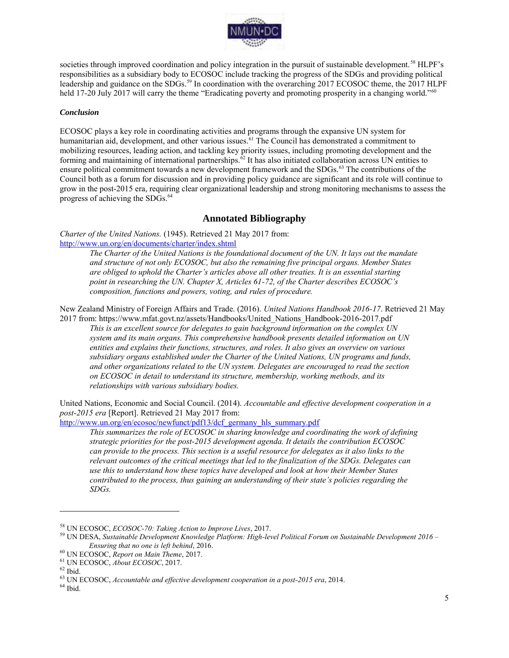

societies through improved coordination and policy integration in the pursuit of sustainable development.<sup>58</sup> HLPF's responsibilities as a subsidiary body to ECOSOC include tracking the progress of the SDGs and providing political leadership and guidance on the SDGs.<sup>59</sup> In coordination with the overarching 2017 ECOSOC theme, the 2017 HLPF held 17-20 July 2017 will carry the theme "Eradicating poverty and promoting prosperity in a changing world."<sup>60</sup>

#### *Conclusion*

ECOSOC plays a key role in coordinating activities and programs through the expansive UN system for humanitarian aid, development, and other various issues.<sup>61</sup> The Council has demonstrated a commitment to mobilizing resources, leading action, and tackling key priority issues, including promoting development and the forming and maintaining of international partnerships.<sup>62</sup> It has also initiated collaboration across UN entities to ensure political commitment towards a new development framework and the SDGs.<sup>63</sup> The contributions of the Council both as a forum for discussion and in providing policy guidance are significant and its role will continue to grow in the post-2015 era, requiring clear organizational leadership and strong monitoring mechanisms to assess the progress of achieving the SDGs.<sup>64</sup>

### **Annotated Bibliography**

*Charter of the United Nations.* (1945). Retrieved 21 May 2017 from: <http://www.un.org/en/documents/charter/index.shtml>

*The Charter of the United Nations is the foundational document of the UN. It lays out the mandate and structure of not only ECOSOC, but also the remaining five principal organs. Member States are obliged to uphold the Charter's articles above all other treaties. It is an essential starting point in researching the UN. Chapter X, Articles 61-72, of the Charter describes ECOSOC's composition, functions and powers, voting, and rules of procedure.* 

New Zealand Ministry of Foreign Affairs and Trade. (2016). *United Nations Handbook 2016-17*. Retrieved 21 May 2017 from: https://www.mfat.govt.nz/assets/Handbooks/United\_Nations\_Handbook-2016-2017.pdf

*This is an excellent source for delegates to gain background information on the complex UN system and its main organs. This comprehensive handbook presents detailed information on UN entities and explains their functions, structures, and roles. It also gives an overview on various subsidiary organs established under the Charter of the United Nations, UN programs and funds, and other organizations related to the UN system. Delegates are encouraged to read the section on ECOSOC in detail to understand its structure, membership, working methods, and its relationships with various subsidiary bodies.* 

United Nations, Economic and Social Council. (2014). *Accountable and effective development cooperation in a post-2015 era* [Report]. Retrieved 21 May 2017 from:

[http://www.un.org/en/ecosoc/newfunct/pdf13/dcf\\_germany\\_hls\\_summary.pdf](http://www.un.org/en/ecosoc/newfunct/pdf13/dcf_germany_hls_summary.pdf)

*This summarizes the role of ECOSOC in sharing knowledge and coordinating the work of defining strategic priorities for the post-2015 development agenda. It details the contribution ECOSOC can provide to the process. This section is a useful resource for delegates as it also links to the relevant outcomes of the critical meetings that led to the finalization of the SDGs. Delegates can use this to understand how these topics have developed and look at how their Member States contributed to the process, thus gaining an understanding of their state's policies regarding the SDGs.* 

 $\overline{a}$ 

 $\,$   $^{64}$  Ibid.

<sup>58</sup> UN ECOSOC, *ECOSOC-70: Taking Action to Improve Lives*, 2017.

<sup>59</sup> UN DESA, *Sustainable Development Knowledge Platform: High-level Political Forum on Sustainable Development 2016 – Ensuring that no one is left behind*, 2016.

<sup>60</sup> UN ECOSOC, *Report on Main Theme*, 2017.

<sup>61</sup> UN ECOSOC, *About ECOSOC*, 2017.

 $62$  Ibid.

<sup>63</sup> UN ECOSOC, *Accountable and effective development cooperation in a post-2015 era*, 2014.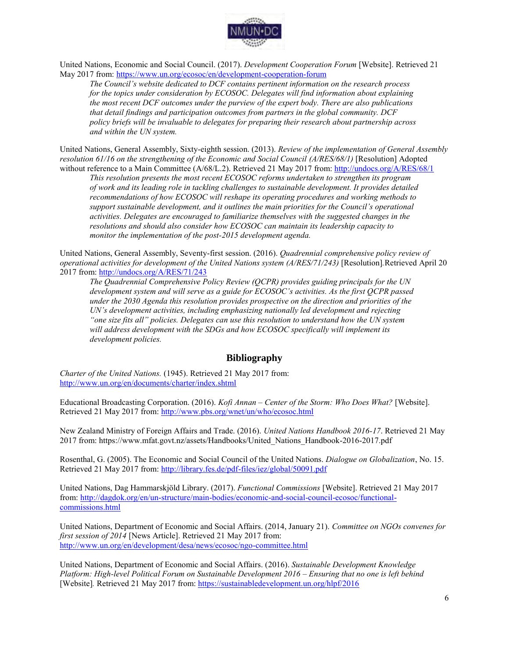

United Nations, Economic and Social Council. (2017). *Development Cooperation Forum* [Website]. Retrieved 21 May 2017 from:<https://www.un.org/ecosoc/en/development-cooperation-forum>

*The Council's website dedicated to DCF contains pertinent information on the research process for the topics under consideration by ECOSOC. Delegates will find information about explaining the most recent DCF outcomes under the purview of the expert body. There are also publications that detail findings and participation outcomes from partners in the global community. DCF policy briefs will be invaluable to delegates for preparing their research about partnership across and within the UN system.* 

United Nations, General Assembly, Sixty-eighth session. (2013). *Review of the implementation of General Assembly resolution 61/16 on the strengthening of the Economic and Social Council (A/RES/68/1)* [Resolution] Adopted without reference to a Main Committee (A/68/L.2). Retrieved 21 May 2017 from:<http://undocs.org/A/RES/68/1>

*This resolution presents the most recent ECOSOC reforms undertaken to strengthen its program of work and its leading role in tackling challenges to sustainable development. It provides detailed recommendations of how ECOSOC will reshape its operating procedures and working methods to support sustainable development, and it outlines the main priorities for the Council's operational activities. Delegates are encouraged to familiarize themselves with the suggested changes in the resolutions and should also consider how ECOSOC can maintain its leadership capacity to monitor the implementation of the post-2015 development agenda.* 

United Nations, General Assembly, Seventy-first session. (2016). *Quadrennial comprehensive policy review of operational activities for development of the United Nations system (A/RES/71/243)* [Resolution]. Retrieved April 20 2017 from:<http://undocs.org/A/RES/71/243>

*The Quadrennial Comprehensive Policy Review (QCPR) provides guiding principals for the UN development system and will serve as a guide for ECOSOC's activities. As the first QCPR passed under the 2030 Agenda this resolution provides prospective on the direction and priorities of the UN's development activities, including emphasizing nationally led development and rejecting "one size fits all" policies. Delegates can use this resolution to understand how the UN system will address development with the SDGs and how ECOSOC specifically will implement its development policies.* 

# **Bibliography**

*Charter of the United Nations.* (1945). Retrieved 21 May 2017 from: <http://www.un.org/en/documents/charter/index.shtml>

Educational Broadcasting Corporation. (2016). *Kofi Annan – Center of the Storm: Who Does What?* [Website]. Retrieved 21 May 2017 from:<http://www.pbs.org/wnet/un/who/ecosoc.html>

New Zealand Ministry of Foreign Affairs and Trade. (2016). *United Nations Handbook 2016-17*. Retrieved 21 May 2017 from: https://www.mfat.govt.nz/assets/Handbooks/United\_Nations\_Handbook-2016-2017.pdf

Rosenthal, G. (2005). The Economic and Social Council of the United Nations. *Dialogue on Globalization*, No. 15. Retrieved 21 May 2017 from:<http://library.fes.de/pdf-files/iez/global/50091.pdf>

United Nations, Dag Hammarskjöld Library. (2017). *Functional Commissions* [Website]. Retrieved 21 May 2017 from[: http://dagdok.org/en/un-structure/main-bodies/economic-and-social-council-ecosoc/functional](http://dagdok.org/en/un-structure/main-bodies/economic-and-social-council-ecosoc/functional-commissions.html)[commissions.html](http://dagdok.org/en/un-structure/main-bodies/economic-and-social-council-ecosoc/functional-commissions.html)

United Nations, Department of Economic and Social Affairs. (2014, January 21). *Committee on NGOs convenes for first session of 2014* [News Article]. Retrieved 21 May 2017 from: <http://www.un.org/en/development/desa/news/ecosoc/ngo-committee.html>

United Nations, Department of Economic and Social Affairs. (2016). *Sustainable Development Knowledge Platform: High-level Political Forum on Sustainable Development 2016 – Ensuring that no one is left behind*  [Website]*.* Retrieved 21 May 2017 from:<https://sustainabledevelopment.un.org/hlpf/2016>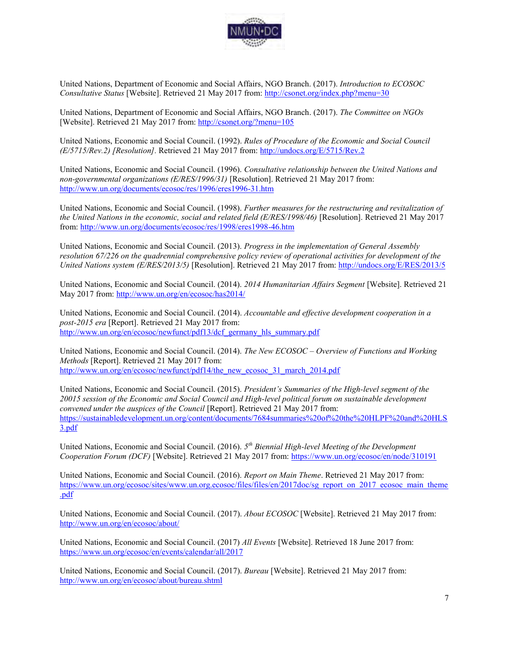

United Nations, Department of Economic and Social Affairs, NGO Branch. (2017). *Introduction to ECOSOC Consultative Status* [Website]. Retrieved 21 May 2017 from:<http://csonet.org/index.php?menu=30>

United Nations, Department of Economic and Social Affairs, NGO Branch. (2017). *The Committee on NGOs* [Website]. Retrieved 21 May 2017 from:<http://csonet.org/?menu=105>

United Nations, Economic and Social Council. (1992). *Rules of Procedure of the Economic and Social Council (E/5715/Rev.2) [Resolution].* Retrieved 21 May 2017 from:<http://undocs.org/E/5715/Rev.2>

United Nations, Economic and Social Council. (1996). *Consultative relationship between the United Nations and non-governmental organizations (E/RES/1996/31)* [Resolution]. Retrieved 21 May 2017 from: <http://www.un.org/documents/ecosoc/res/1996/eres1996-31.htm>

United Nations, Economic and Social Council. (1998). *Further measures for the restructuring and revitalization of the United Nations in the economic, social and related field (E/RES/1998/46)* [Resolution]. Retrieved 21 May 2017 from[: http://www.un.org/documents/ecosoc/res/1998/eres1998-46.htm](http://www.un.org/documents/ecosoc/res/1998/eres1998-46.htm)

United Nations, Economic and Social Council. (2013). *Progress in the implementation of General Assembly resolution 67/226 on the quadrennial comprehensive policy review of operational activities for development of the United Nations system (E/RES/2013/5)* [Resolution]. Retrieved 21 May 2017 from:<http://undocs.org/E/RES/2013/5>

United Nations, Economic and Social Council. (2014). *2014 Humanitarian Affairs Segment* [Website]. Retrieved 21 May 2017 from:<http://www.un.org/en/ecosoc/has2014/>

United Nations, Economic and Social Council. (2014). *Accountable and effective development cooperation in a post-2015 era* [Report]. Retrieved 21 May 2017 from: [http://www.un.org/en/ecosoc/newfunct/pdf13/dcf\\_germany\\_hls\\_summary.pdf](http://www.un.org/en/ecosoc/newfunct/pdf13/dcf_germany_hls_summary.pdf)

United Nations, Economic and Social Council. (2014). *The New ECOSOC – Overview of Functions and Working Methods* [Report]. Retrieved 21 May 2017 from: [http://www.un.org/en/ecosoc/newfunct/pdf14/the\\_new\\_ecosoc\\_31\\_march\\_2014.pdf](http://www.un.org/en/ecosoc/newfunct/pdf14/the_new_ecosoc_31_march_2014.pdf)

United Nations, Economic and Social Council. (2015). *President's Summaries of the High-level segment of the 20015 session of the Economic and Social Council and High-level political forum on sustainable development convened under the auspices of the Council* [Report]. Retrieved 21 May 2017 from: [https://sustainabledevelopment.un.org/content/documents/7684summaries%20of%20the%20HLPF%20and%20HLS](https://sustainabledevelopment.un.org/content/documents/7684summaries%20of%20the%20HLPF%20and%20HLS3.pdf) [3.pdf](https://sustainabledevelopment.un.org/content/documents/7684summaries%20of%20the%20HLPF%20and%20HLS3.pdf)

United Nations, Economic and Social Council. (2016). *5 th Biennial High-level Meeting of the Development Cooperation Forum (DCF)* [Website]. Retrieved 21 May 2017 from:<https://www.un.org/ecosoc/en/node/310191>

United Nations, Economic and Social Council. (2016). *Report on Main Theme*. Retrieved 21 May 2017 from: [https://www.un.org/ecosoc/sites/www.un.org.ecosoc/files/files/en/2017doc/sg\\_report\\_on\\_2017\\_ecosoc\\_main\\_theme](https://www.un.org/ecosoc/sites/www.un.org.ecosoc/files/files/en/2017doc/sg_report_on_2017_ecosoc_main_theme.pdf) [.pdf](https://www.un.org/ecosoc/sites/www.un.org.ecosoc/files/files/en/2017doc/sg_report_on_2017_ecosoc_main_theme.pdf) 

United Nations, Economic and Social Council. (2017). *About ECOSOC* [Website]. Retrieved 21 May 2017 from: <http://www.un.org/en/ecosoc/about/>

United Nations, Economic and Social Council. (2017) *All Events* [Website]. Retrieved 18 June 2017 from: <https://www.un.org/ecosoc/en/events/calendar/all/2017>

United Nations, Economic and Social Council. (2017). *Bureau* [Website]. Retrieved 21 May 2017 from: <http://www.un.org/en/ecosoc/about/bureau.shtml>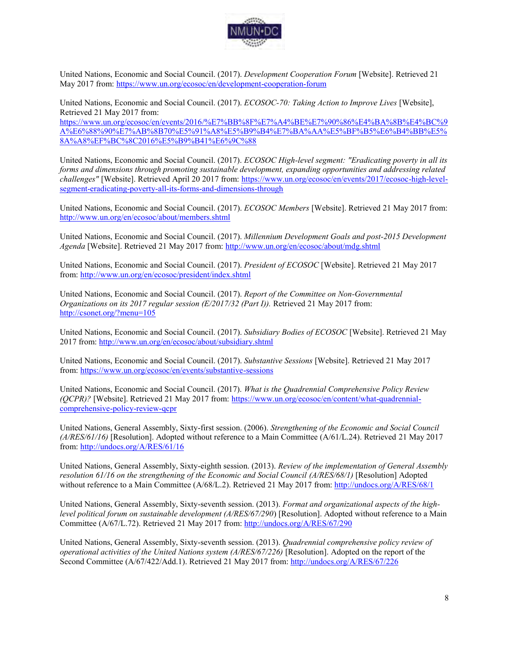

United Nations, Economic and Social Council. (2017). *Development Cooperation Forum* [Website]. Retrieved 21 May 2017 from:<https://www.un.org/ecosoc/en/development-cooperation-forum>

United Nations, Economic and Social Council. (2017). *ECOSOC-70: Taking Action to Improve Lives* [Website], Retrieved 21 May 2017 from:

[https://www.un.org/ecosoc/en/events/2016/%E7%BB%8F%E7%A4%BE%E7%90%86%E4%BA%8B%E4%BC%9](https://www.un.org/ecosoc/en/events/2016/%E7%BB%8F%E7%A4%BE%E7%90%86%E4%BA%8B%E4%BC%9A%E6%88%90%E7%AB%8B70%E5%91%A8%E5%B9%B4%E7%BA%AA%E5%BF%B5%E6%B4%BB%E5%8A%A8%EF%BC%8C2016%E5%B9%B41%E6%9C%88) [A%E6%88%90%E7%AB%8B70%E5%91%A8%E5%B9%B4%E7%BA%AA%E5%BF%B5%E6%B4%BB%E5%](https://www.un.org/ecosoc/en/events/2016/%E7%BB%8F%E7%A4%BE%E7%90%86%E4%BA%8B%E4%BC%9A%E6%88%90%E7%AB%8B70%E5%91%A8%E5%B9%B4%E7%BA%AA%E5%BF%B5%E6%B4%BB%E5%8A%A8%EF%BC%8C2016%E5%B9%B41%E6%9C%88) [8A%A8%EF%BC%8C2016%E5%B9%B41%E6%9C%88](https://www.un.org/ecosoc/en/events/2016/%E7%BB%8F%E7%A4%BE%E7%90%86%E4%BA%8B%E4%BC%9A%E6%88%90%E7%AB%8B70%E5%91%A8%E5%B9%B4%E7%BA%AA%E5%BF%B5%E6%B4%BB%E5%8A%A8%EF%BC%8C2016%E5%B9%B41%E6%9C%88)

United Nations, Economic and Social Council. (2017). *ECOSOC High-level segment: "Eradicating poverty in all its forms and dimensions through promoting sustainable development, expanding opportunities and addressing related challenges"* [Website]. Retrieved April 20 2017 from: [https://www.un.org/ecosoc/en/events/2017/ecosoc-high-level](https://www.un.org/ecosoc/en/events/2017/ecosoc-high-level-segment-eradicating-poverty-all-its-forms-and-dimensions-through)[segment-eradicating-poverty-all-its-forms-and-dimensions-through](https://www.un.org/ecosoc/en/events/2017/ecosoc-high-level-segment-eradicating-poverty-all-its-forms-and-dimensions-through)

United Nations, Economic and Social Council. (2017). *ECOSOC Members* [Website]. Retrieved 21 May 2017 from: <http://www.un.org/en/ecosoc/about/members.shtml>

United Nations, Economic and Social Council. (2017). *Millennium Development Goals and post-2015 Development Agenda* [Website]. Retrieved 21 May 2017 from:<http://www.un.org/en/ecosoc/about/mdg.shtml>

United Nations, Economic and Social Council. (2017). *President of ECOSOC* [Website]. Retrieved 21 May 2017 from[: http://www.un.org/en/ecosoc/president/index.shtml](http://www.un.org/en/ecosoc/president/index.shtml)

United Nations, Economic and Social Council. (2017). *Report of the Committee on Non-Governmental Organizations on its 2017 regular session (E/2017/32 (Part I)).* Retrieved 21 May 2017 from: <http://csonet.org/?menu=105>

United Nations, Economic and Social Council. (2017). *Subsidiary Bodies of ECOSOC* [Website]. Retrieved 21 May 2017 from:<http://www.un.org/en/ecosoc/about/subsidiary.shtml>

United Nations, Economic and Social Council. (2017). *Substantive Sessions* [Website]. Retrieved 21 May 2017 from[: https://www.un.org/ecosoc/en/events/substantive-sessions](https://www.un.org/ecosoc/en/events/substantive-sessions)

United Nations, Economic and Social Council. (2017). *What is the Quadrennial Comprehensive Policy Review (QCPR)?* [Website]. Retrieved 21 May 2017 from: [https://www.un.org/ecosoc/en/content/what-quadrennial](https://www.un.org/ecosoc/en/content/what-quadrennial-comprehensive-policy-review-qcpr)[comprehensive-policy-review-qcpr](https://www.un.org/ecosoc/en/content/what-quadrennial-comprehensive-policy-review-qcpr)

United Nations, General Assembly, Sixty-first session. (2006). *Strengthening of the Economic and Social Council (A/RES/61/16)* [Resolution]. Adopted without reference to a Main Committee (A/61/L.24). Retrieved 21 May 2017 from[: http://undocs.org/A/RES/61/16](http://undocs.org/A/RES/61/16)

United Nations, General Assembly, Sixty-eighth session. (2013). *Review of the implementation of General Assembly resolution 61/16 on the strengthening of the Economic and Social Council (A/RES/68/1)* [Resolution] Adopted without reference to a Main Committee (A/68/L.2). Retrieved 21 May 2017 from:<http://undocs.org/A/RES/68/1>

United Nations, General Assembly, Sixty-seventh session. (2013). *Format and organizational aspects of the highlevel political forum on sustainable development (A/RES/67/290*) [Resolution]. Adopted without reference to a Main Committee (A/67/L.72). Retrieved 21 May 2017 from:<http://undocs.org/A/RES/67/290>

United Nations, General Assembly, Sixty-seventh session. (2013). *Quadrennial comprehensive policy review of operational activities of the United Nations system (A/RES/67/226)* [Resolution]. Adopted on the report of the Second Committee (A/67/422/Add.1). Retrieved 21 May 2017 from[: http://undocs.org/A/RES/67/226](http://undocs.org/A/RES/67/226)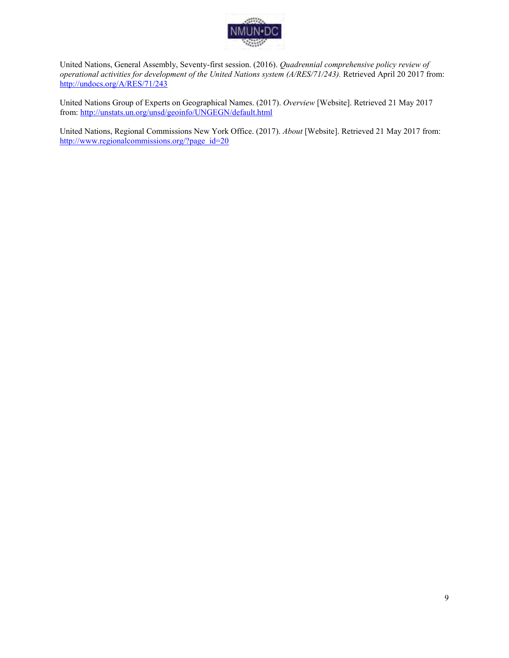

United Nations, General Assembly, Seventy-first session. (2016). *Quadrennial comprehensive policy review of operational activities for development of the United Nations system (A/RES/71/243).* Retrieved April 20 2017 from: <http://undocs.org/A/RES/71/243>

United Nations Group of Experts on Geographical Names. (2017). *Overview* [Website]. Retrieved 21 May 2017 from[: http://unstats.un.org/unsd/geoinfo/UNGEGN/default.html](http://unstats.un.org/unsd/geoinfo/UNGEGN/default.html)

United Nations, Regional Commissions New York Office. (2017). *About* [Website]. Retrieved 21 May 2017 from: [http://www.regionalcommissions.org/?page\\_id=20](http://www.regionalcommissions.org/?page_id=20)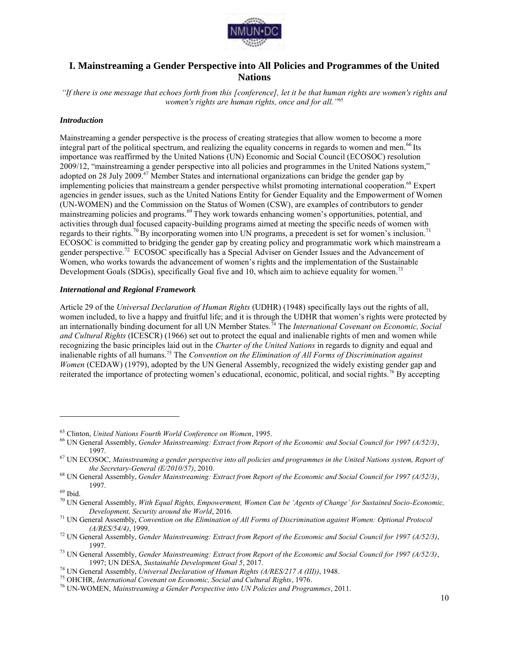

# **I. Mainstreaming a Gender Perspective into All Policies and Programmes of the United Nations**

*"If there is one message that echoes forth from this [conference], let it be that human rights are women's rights and women's rights are human rights, once and for all."*<sup>65</sup>

#### *Introduction*

Mainstreaming a gender perspective is the process of creating strategies that allow women to become a more integral part of the political spectrum, and realizing the equality concerns in regards to women and men.<sup>66</sup> Its importance was reaffirmed by the United Nations (UN) Economic and Social Council (ECOSOC) resolution 2009/12, "mainstreaming a gender perspective into all policies and programmes in the United Nations system," adopted on 28 July 2009.<sup>67</sup> Member States and international organizations can bridge the gender gap by implementing policies that mainstream a gender perspective whilst promoting international cooperation.<sup>68</sup> Expert agencies in gender issues, such as the United Nations Entity for Gender Equality and the Empowerment of Women (UN-WOMEN) and the Commission on the Status of Women (CSW), are examples of contributors to gender mainstreaming policies and programs.<sup>69</sup> They work towards enhancing women's opportunities, potential, and activities through dual focused capacity-building programs aimed at meeting the specific needs of women with regards to their rights.<sup>70</sup> By incorporating women into UN programs, a precedent is set for women's inclusion.<sup>71</sup> ECOSOC is committed to bridging the gender gap by creating policy and programmatic work which mainstream a gender perspective.<sup>72</sup> ECOSOC specifically has a Special Adviser on Gender Issues and the Advancement of Women, who works towards the advancement of women's rights and the implementation of the Sustainable Development Goals (SDGs), specifically Goal five and 10, which aim to achieve equality for women.<sup>73</sup>

#### *International and Regional Framework*

Article 29 of the *Universal Declaration of Human Rights* (UDHR) (1948) specifically lays out the rights of all, women included, to live a happy and fruitful life; and it is through the UDHR that women's rights were protected by an internationally binding document for all UN Member States.<sup>74</sup> The *International Covenant on Economic, Social and Cultural Rights* (ICESCR) (1966) set out to protect the equal and inalienable rights of men and women while recognizing the basic principles laid out in the *Charter of the United Nations* in regards to dignity and equal and inalienable rights of all humans.<sup>75</sup> The *Convention on the Elimination of All Forms of Discrimination against Women* (CEDAW) (1979), adopted by the UN General Assembly, recognized the widely existing gender gap and reiterated the importance of protecting women's educational, economic, political, and social rights.<sup>76</sup> By accepting

<sup>65</sup> Clinton, *United Nations Fourth World Conference on Women*, 1995.

<sup>66</sup> UN General Assembly, *Gender Mainstreaming: Extract from Report of the Economic and Social Council for 1997 (A/52/3)*, 1997.

<sup>67</sup> UN ECOSOC, *Mainstreaming a gender perspective into all policies and programmes in the United Nations system, Report of the Secretary-General (E/2010/57)*, 2010.

<sup>68</sup> UN General Assembly, *Gender Mainstreaming: Extract from Report of the Economic and Social Council for 1997 (A/52/3)*, 1997.

 $^{69}$  Ibid.

<sup>70</sup> UN General Assembly, *With Equal Rights, Empowerment, Women Can be 'Agents of Change' for Sustained Socio-Economic, Development, Security around the World*, 2016.

<sup>71</sup> UN General Assembly, *Convention on the Elimination of All Forms of Discrimination against Women: Optional Protocol (A/RES/54/4)*, 1999.

<sup>72</sup> UN General Assembly, *Gender Mainstreaming: Extract from Report of the Economic and Social Council for 1997 (A/52/3)*, 1997.

<sup>73</sup> UN General Assembly, *Gender Mainstreaming: Extract from Report of the Economic and Social Council for 1997 (A/52/3)*, 1997; UN DESA, *Sustainable Development Goal 5*, 2017.

<sup>74</sup> UN General Assembly, *Universal Declaration of Human Rights (A/RES/217 A (III))*, 1948.

<sup>75</sup> OHCHR, *International Covenant on Economic, Social and Cultural Rights*, 1976.

<sup>76</sup> UN-WOMEN, *Mainstreaming a Gender Perspective into UN Policies and Programmes*, 2011.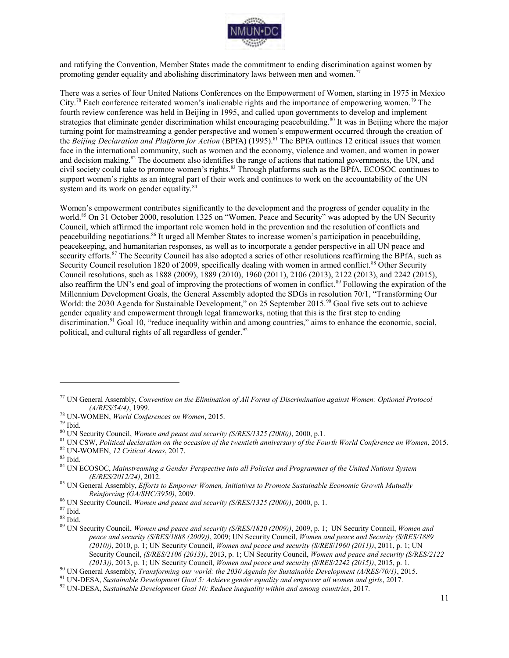

and ratifying the Convention, Member States made the commitment to ending discrimination against women by promoting gender equality and abolishing discriminatory laws between men and women.<sup>77</sup>

There was a series of four United Nations Conferences on the Empowerment of Women, starting in 1975 in Mexico City.<sup>78</sup> Each conference reiterated women's inalienable rights and the importance of empowering women.<sup>79</sup> The fourth review conference was held in Beijing in 1995, and called upon governments to develop and implement strategies that eliminate gender discrimination whilst encouraging peacebuilding.<sup>80</sup> It was in Beijing where the major turning point for mainstreaming a gender perspective and women's empowerment occurred through the creation of the *Beijing Declaration and Platform for Action* (BPfA) (1995).<sup>81</sup> The BPfA outlines 12 critical issues that women face in the international community, such as women and the economy, violence and women, and women in power and decision making.<sup>82</sup> The document also identifies the range of actions that national governments, the UN, and civil society could take to promote women's rights.<sup>83</sup> Through platforms such as the BPfA, ECOSOC continues to support women's rights as an integral part of their work and continues to work on the accountability of the UN system and its work on gender equality.<sup>84</sup>

Women's empowerment contributes significantly to the development and the progress of gender equality in the world.<sup>85</sup> On 31 October 2000, resolution 1325 on "Women, Peace and Security" was adopted by the UN Security Council, which affirmed the important role women hold in the prevention and the resolution of conflicts and peacebuilding negotiations.<sup>86</sup> It urged all Member States to increase women's participation in peacebuilding, peacekeeping, and humanitarian responses, as well as to incorporate a gender perspective in all UN peace and security efforts.<sup>87</sup> The Security Council has also adopted a series of other resolutions reaffirming the BPfA, such as Security Council resolution 1820 of 2009, specifically dealing with women in armed conflict.<sup>88</sup> Other Security Council resolutions, such as 1888 (2009), 1889 (2010), 1960 (2011), 2106 (2013), 2122 (2013), and 2242 (2015), also reaffirm the UN's end goal of improving the protections of women in conflict.<sup>89</sup> Following the expiration of the Millennium Development Goals, the General Assembly adopted the SDGs in resolution 70/1, "Transforming Our World: the 2030 Agenda for Sustainable Development," on 25 September 2015.<sup>90</sup> Goal five sets out to achieve gender equality and empowerment through legal frameworks, noting that this is the first step to ending discrimination.<sup>91</sup> Goal 10, "reduce inequality within and among countries," aims to enhance the economic, social, political, and cultural rights of all regardless of gender. $92$ 

 $\overline{a}$ 

 $\rm ^{87}$  Ibid.

<sup>77</sup> UN General Assembly, *Convention on the Elimination of All Forms of Discrimination against Women: Optional Protocol (A/RES/54/4)*, 1999.

<sup>78</sup> UN-WOMEN, *World Conferences on Women*, 2015.

<sup>79</sup> Ibid.

<sup>80</sup> UN Security Council, *Women and peace and security (S/RES/1325 (2000))*, 2000, p.1.

<sup>81</sup> UN CSW, *Political declaration on the occasion of the twentieth anniversary of the Fourth World Conference on Women*, 2015.

<sup>82</sup> UN-WOMEN, *12 Critical Areas*, 2017.

 $83$  Ibid.

<sup>84</sup> UN ECOSOC, *Mainstreaming a Gender Perspective into all Policies and Programmes of the United Nations System (E/RES/2012/24)*, 2012.

<sup>85</sup> UN General Assembly, *Efforts to Empower Women, Initiatives to Promote Sustainable Economic Growth Mutually Reinforcing (GA/SHC/3950)*, 2009.

<sup>86</sup> UN Security Council, *Women and peace and security (S/RES/1325 (2000))*, 2000, p. 1.

 $^{88}$  Ibid.

<sup>89</sup> UN Security Council, *Women and peace and security (S/RES/1820 (2009))*, 2009, p. 1; UN Security Council, *Women and peace and security (S/RES/1888 (2009))*, 2009; UN Security Council, *Women and peace and Security (S/RES/1889 (2010))*, 2010, p. 1; UN Security Council, *Women and peace and security (S/RES*/*1960 (2011))*, 2011, p. 1; UN Security Council, *(S/RES/2106 (2013))*, 2013, p. 1; UN Security Council, *Women and peace and security (S/RES/2122 (2013))*, 2013, p. 1; UN Security Council, *Women and peace and security (S/RES/2242 (2015))*, 2015, p. 1.

<sup>90</sup> UN General Assembly, *Transforming our world: the 2030 Agenda for Sustainable Development (A/RES/70/1)*, 2015.

<sup>91</sup> UN-DESA, *Sustainable Development Goal 5: Achieve gender equality and empower all women and girls*, 2017.

<sup>92</sup> UN-DESA, *Sustainable Development Goal 10: Reduce inequality within and among countries*, 2017.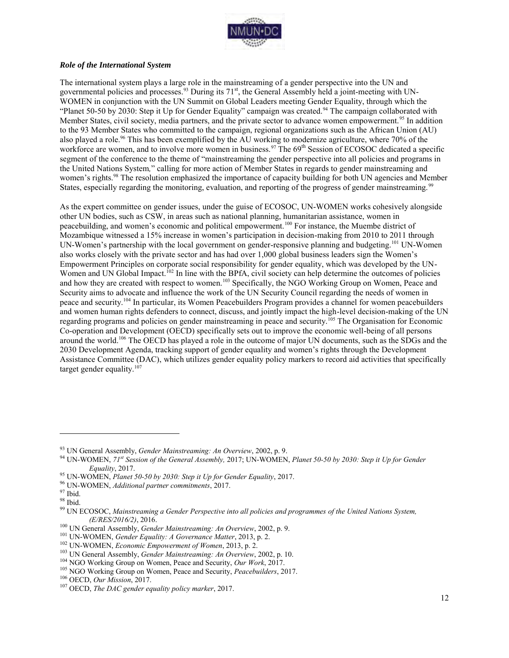

#### *Role of the International System*

The international system plays a large role in the mainstreaming of a gender perspective into the UN and governmental policies and processes.<sup>93</sup> During its 71<sup>st</sup>, the General Assembly held a joint-meeting with UN-WOMEN in conjunction with the UN Summit on Global Leaders meeting Gender Equality, through which the "Planet 50-50 by 2030: Step it Up for Gender Equality" campaign was created.<sup>94</sup> The campaign collaborated with Member States, civil society, media partners, and the private sector to advance women empowerment.<sup>95</sup> In addition to the 93 Member States who committed to the campaign, regional organizations such as the African Union (AU) also played a role.<sup>96</sup> This has been exemplified by the AU working to modernize agriculture, where 70% of the workforce are women, and to involve more women in business.<sup>97</sup> The 69<sup>th</sup> Session of ECOSOC dedicated a specific segment of the conference to the theme of "mainstreaming the gender perspective into all policies and programs in the United Nations System*,*" calling for more action of Member States in regards to gender mainstreaming and women's rights.<sup>98</sup> The resolution emphasized the importance of capacity building for both UN agencies and Member States, especially regarding the monitoring, evaluation, and reporting of the progress of gender mainstreaming.<sup>99</sup>

As the expert committee on gender issues, under the guise of ECOSOC, UN-WOMEN works cohesively alongside other UN bodies, such as CSW, in areas such as national planning, humanitarian assistance, women in peacebuilding, and women's economic and political empowerment.<sup>100</sup> For instance, the Muembe district of Mozambique witnessed a 15% increase in women's participation in decision-making from 2010 to 2011 through UN-Women's partnership with the local government on gender-responsive planning and budgeting.<sup>101</sup> UN-Women also works closely with the private sector and has had over 1,000 global business leaders sign the Women's Empowerment Principles on corporate social responsibility for gender equality, which was developed by the UN-Women and UN Global Impact.<sup>102</sup> In line with the BPfA, civil society can help determine the outcomes of policies and how they are created with respect to women.<sup>103</sup> Specifically, the NGO Working Group on Women, Peace and Security aims to advocate and influence the work of the UN Security Council regarding the needs of women in peace and security.<sup>104</sup> In particular, its Women Peacebuilders Program provides a channel for women peacebuilders and women human rights defenders to connect, discuss, and jointly impact the high-level decision-making of the UN regarding programs and policies on gender mainstreaming in peace and security.<sup>105</sup> The Organisation for Economic Co-operation and Development (OECD) specifically sets out to improve the economic well-being of all persons around the world.<sup>106</sup> The OECD has played a role in the outcome of major UN documents, such as the SDGs and the 2030 Development Agenda, tracking support of gender equality and women's rights through the Development Assistance Committee (DAC), which utilizes gender equality policy markers to record aid activities that specifically target gender equality. $107$ 

<sup>93</sup> UN General Assembly, *Gender Mainstreaming: An Overview*, 2002, p. 9.

<sup>94</sup> UN-WOMEN, *71st Session of the General Assembly,* 2017; UN-WOMEN, *Planet 50-50 by 2030: Step it Up for Gender Equality*, 2017.

<sup>95</sup> UN-WOMEN, *Planet 50-50 by 2030: Step it Up for Gender Equality*, 2017.

<sup>96</sup> UN-WOMEN, *Additional partner commitments*, 2017.

<sup>97</sup> Ibid.

<sup>98</sup> Ibid.

<sup>99</sup> UN ECOSOC, *Mainstreaming a Gender Perspective into all policies and programmes of the United Nations System, (E/RES/2016/2)*, 2016.

<sup>100</sup> UN General Assembly, *Gender Mainstreaming: An Overview*, 2002, p. 9.

<sup>101</sup> UN-WOMEN, *Gender Equality: A Governance Matter*, 2013, p. 2.

<sup>102</sup> UN-WOMEN, *Economic Empowerment of Women*, 2013, p. 2.

<sup>103</sup> UN General Assembly, *Gender Mainstreaming: An Overview*, 2002, p. 10.

<sup>104</sup> NGO Working Group on Women, Peace and Security, *Our Work*, 2017.

<sup>105</sup> NGO Working Group on Women, Peace and Security, *Peacebuilders*, 2017.

<sup>106</sup> OECD, *Our Mission*, 2017.

<sup>107</sup> OECD, *The DAC gender equality policy marker*, 2017.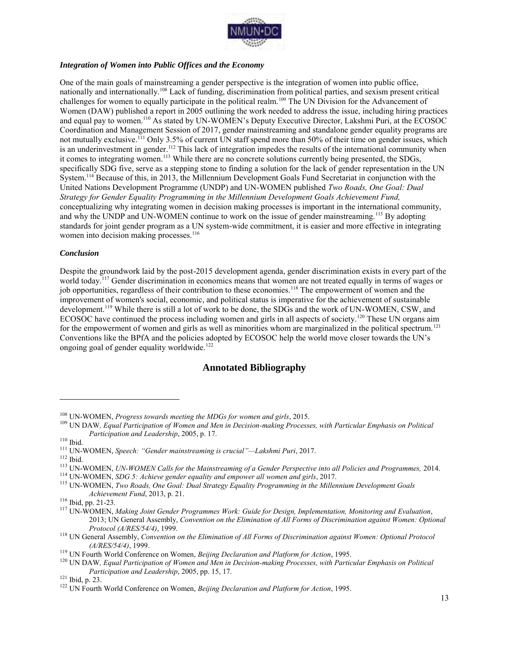

#### *Integration of Women into Public Offices and the Economy*

One of the main goals of mainstreaming a gender perspective is the integration of women into public office, nationally and internationally.<sup>108</sup> Lack of funding, discrimination from political parties, and sexism present critical challenges for women to equally participate in the political realm.<sup>109</sup> The UN Division for the Advancement of Women (DAW) published a report in 2005 outlining the work needed to address the issue, including hiring practices and equal pay to women.<sup>110</sup> As stated by UN-WOMEN's Deputy Executive Director, Lakshmi Puri, at the ECOSOC Coordination and Management Session of 2017, gender mainstreaming and standalone gender equality programs are not mutually exclusive.<sup>111</sup> Only 3.5% of current UN staff spend more than 50% of their time on gender issues, which is an underinvestment in gender.<sup>112</sup> This lack of integration impedes the results of the international community when it comes to integrating women.<sup>113</sup> While there are no concrete solutions currently being presented, the SDGs, specifically SDG five, serve as a stepping stone to finding a solution for the lack of gender representation in the UN System.<sup>114</sup> Because of this, in 2013, the Millennium Development Goals Fund Secretariat in conjunction with the United Nations Development Programme (UNDP) and UN-WOMEN published *Two Roads, One Goal: Dual Strategy for Gender Equality Programming in the Millennium Development Goals Achievement Fund,*  conceptualizing why integrating women in decision making processes is important in the international community, and why the UNDP and UN-WOMEN continue to work on the issue of gender mainstreaming.<sup>115</sup> By adopting standards for joint gender program as a UN system-wide commitment, it is easier and more effective in integrating women into decision making processes.<sup>116</sup>

#### *Conclusion*

Despite the groundwork laid by the post-2015 development agenda, gender discrimination exists in every part of the world today.<sup>117</sup> Gender discrimination in economics means that women are not treated equally in terms of wages or job opportunities, regardless of their contribution to these economies.<sup>118</sup> The empowerment of women and the improvement of women's social, economic, and political status is imperative for the achievement of sustainable development.<sup>119</sup> While there is still a lot of work to be done, the SDGs and the work of UN-WOMEN, CSW, and ECOSOC have continued the process including women and girls in all aspects of society.<sup>120</sup> These UN organs aim for the empowerment of women and girls as well as minorities whom are marginalized in the political spectrum.<sup>121</sup> Conventions like the BPfA and the policies adopted by ECOSOC help the world move closer towards the UN's ongoing goal of gender equality worldwide.<sup>122</sup>

# **Annotated Bibliography**

<sup>108</sup> UN-WOMEN, *Progress towards meeting the MDGs for women and girls*, 2015.

<sup>109</sup> UN DAW*, Equal Participation of Women and Men in Decision-making Processes, with Particular Emphasis on Political Participation and Leadership*, 2005, p. 17.

 $110$  Ibid.

<sup>111</sup> UN-WOMEN, *Speech: "Gender mainstreaming is crucial"—Lakshmi Puri*, 2017.

<sup>112</sup> Ibid.

<sup>113</sup> UN-WOMEN, *UN-WOMEN Calls for the Mainstreaming of a Gender Perspective into all Policies and Programmes,* 2014. <sup>114</sup> UN-WOMEN, *SDG 5: Achieve gender equality and empower all women and girls*, 2017.

<sup>115</sup> UN-WOMEN, *Two Roads, One Goal: Dual Strategy Equality Programming in the Millennium Development Goals Achievement Fund*, 2013, p. 21.

<sup>116</sup> Ibid, pp. 21-23.

<sup>117</sup> UN-WOMEN, *Making Joint Gender Programmes Work: Guide for Design, Implementation, Monitoring and Evaluation*, 2013; UN General Assembly, *Convention on the Elimination of All Forms of Discrimination against Women: Optional Protocol (A/RES/54/4)*, 1999.

<sup>118</sup> UN General Assembly, *Convention on the Elimination of All Forms of Discrimination against Women: Optional Protocol (A/RES/54/4)*, 1999.

<sup>119</sup> UN Fourth World Conference on Women, *Beijing Declaration and Platform for Action*, 1995.

<sup>&</sup>lt;sup>120</sup> UN DAW, Equal Participation of Women and Men in Decision-making Processes, with Particular Emphasis on Political *Participation and Leadership*, 2005, pp. 15, 17.

<sup>121</sup> Ibid, p. 23.

<sup>&</sup>lt;sup>122</sup> UN Fourth World Conference on Women, *Beijing Declaration and Platform for Action*, 1995.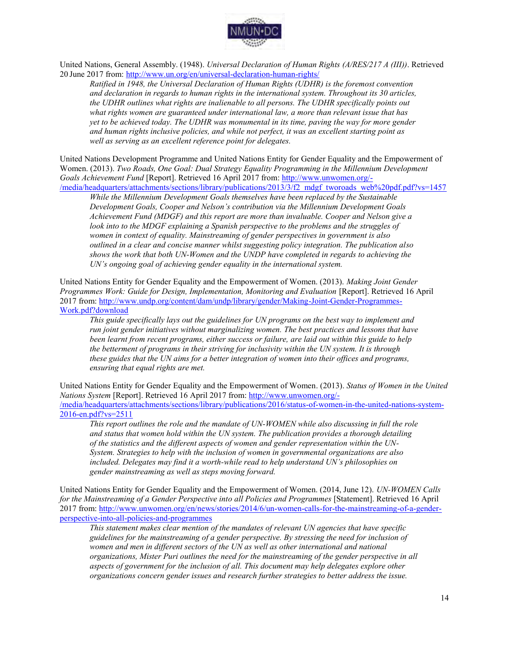

United Nations, General Assembly. (1948). *Universal Declaration of Human Rights (A/RES/217 A (III))*. Retrieved 20 June 2017 from:<http://www.un.org/en/universal-declaration-human-rights/>

*Ratified in 1948, the Universal Declaration of Human Rights (UDHR) is the foremost convention and declaration in regards to human rights in the international system. Throughout its 30 articles, the UDHR outlines what rights are inalienable to all persons. The UDHR specifically points out what rights women are guaranteed under international law, a more than relevant issue that has yet to be achieved today. The UDHR was monumental in its time, paving the way for more gender and human rights inclusive policies, and while not perfect, it was an excellent starting point as well as serving as an excellent reference point for delegates.* 

United Nations Development Programme and United Nations Entity for Gender Equality and the Empowerment of Women. (2013). *Two Roads, One Goal: Dual Strategy Equality Programming in the Millennium Development Goals Achievement Fund* [Report]. Retrieved 16 April 2017 from: [http://www.unwomen.org/-](http://www.unwomen.org/-/media/headquarters/attachments/sections/library/publications/2013/3/f2_mdgf_tworoads_web%20pdf.pdf?vs=1457) /media/headquarters/attachments/sections/library/publications/2013/3/f2\_mdgf\_tworoads\_web%20pdf.pdf?vs=1457

*While the Millennium Development Goals themselves have been replaced by the Sustainable Development Goals, Cooper and Nelson's contribution via the Millennium Development Goals Achievement Fund (MDGF) and this report are more than invaluable. Cooper and Nelson give a look into to the MDGF explaining a Spanish perspective to the problems and the struggles of women in context of equality. Mainstreaming of gender perspectives in government is also outlined in a clear and concise manner whilst suggesting policy integration. The publication also shows the work that both UN-Women and the UNDP have completed in regards to achieving the UN's ongoing goal of achieving gender equality in the international system.* 

United Nations Entity for Gender Equality and the Empowerment of Women. (2013). *Making Joint Gender Programmes Work: Guide for Design, Implementation, Monitoring and Evaluation [Report]. Retrieved 16 April* 2017 from: [http://www.undp.org/content/dam/undp/library/gender/Making-Joint-Gender-Programmes-](http://www.undp.org/content/dam/undp/library/gender/Making-Joint-Gender-Programmes-Work.pdf?download)[Work.pdf?download](http://www.undp.org/content/dam/undp/library/gender/Making-Joint-Gender-Programmes-Work.pdf?download) 

*This guide specifically lays out the guidelines for UN programs on the best way to implement and run joint gender initiatives without marginalizing women. The best practices and lessons that have been learnt from recent programs, either success or failure, are laid out within this guide to help the betterment of programs in their striving for inclusivity within the UN system. It is through these guides that the UN aims for a better integration of women into their offices and programs, ensuring that equal rights are met.* 

United Nations Entity for Gender Equality and the Empowerment of Women. (2013). *Status of Women in the United Nations System* [Report]. Retrieved 16 April 2017 from: [http://www.unwomen.org/-](http://www.unwomen.org/-/media/headquarters/attachments/sections/library/publications/2016/status-of-women-in-the-united-nations-system-2016-en.pdf?vs=2511) [/media/headquarters/attachments/sections/library/publications/2016/status-of-women-in-the-united-nations-system-](http://www.unwomen.org/-/media/headquarters/attachments/sections/library/publications/2016/status-of-women-in-the-united-nations-system-2016-en.pdf?vs=2511)[2016-en.pdf?vs=2511](http://www.unwomen.org/-/media/headquarters/attachments/sections/library/publications/2016/status-of-women-in-the-united-nations-system-2016-en.pdf?vs=2511) 

*This report outlines the role and the mandate of UN-WOMEN while also discussing in full the role and status that women hold within the UN system. The publication provides a thorough detailing of the statistics and the different aspects of women and gender representation within the UN-System. Strategies to help with the inclusion of women in governmental organizations are also included. Delegates may find it a worth-while read to help understand UN's philosophies on gender mainstreaming as well as steps moving forward.* 

United Nations Entity for Gender Equality and the Empowerment of Women. (2014, June 12). *UN-WOMEN Calls for the Mainstreaming of a Gender Perspective into all Policies and Programmes* [Statement]. Retrieved 16 April 2017 from: [http://www.unwomen.org/en/news/stories/2014/6/un-women-calls-for-the-mainstreaming-of-a-gender](http://www.unwomen.org/en/news/stories/2014/6/un-women-calls-for-the-mainstreaming-of-a-gender-perspective-into-all-policies-and-programmes)[perspective-into-all-policies-and-programmes](http://www.unwomen.org/en/news/stories/2014/6/un-women-calls-for-the-mainstreaming-of-a-gender-perspective-into-all-policies-and-programmes) 

*This statement makes clear mention of the mandates of relevant UN agencies that have specific guidelines for the mainstreaming of a gender perspective. By stressing the need for inclusion of women and men in different sectors of the UN as well as other international and national organizations, Mister Puri outlines the need for the mainstreaming of the gender perspective in all aspects of government for the inclusion of all. This document may help delegates explore other organizations concern gender issues and research further strategies to better address the issue.*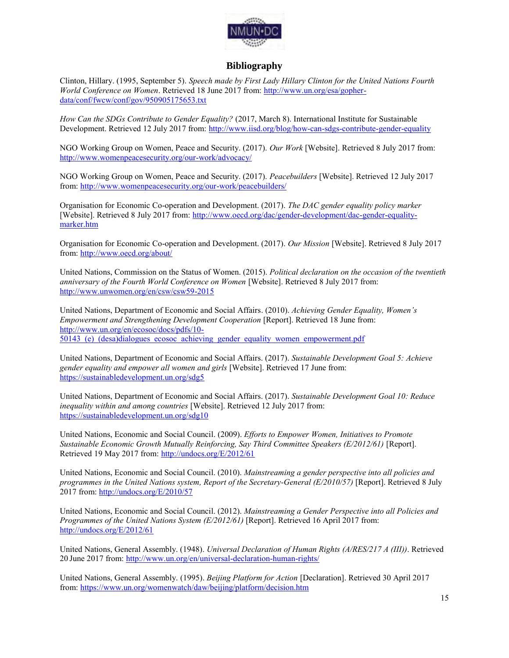

# **Bibliography**

Clinton, Hillary. (1995, September 5). *Speech made by First Lady Hillary Clinton for the United Nations Fourth World Conference on Women*. Retrieved 18 June 2017 from: [http://www.un.org/esa/gopher](http://www.un.org/esa/gopher-data/conf/fwcw/conf/gov/950905175653.txt)[data/conf/fwcw/conf/gov/950905175653.txt](http://www.un.org/esa/gopher-data/conf/fwcw/conf/gov/950905175653.txt) 

*How Can the SDGs Contribute to Gender Equality?* (2017, March 8). International Institute for Sustainable Development. Retrieved 12 July 2017 from:<http://www.iisd.org/blog/how-can-sdgs-contribute-gender-equality>

NGO Working Group on Women, Peace and Security. (2017). *Our Work* [Website]. Retrieved 8 July 2017 from: <http://www.womenpeacesecurity.org/our-work/advocacy/>

NGO Working Group on Women, Peace and Security. (2017). *Peacebuilders* [Website]. Retrieved 12 July 2017 from[: http://www.womenpeacesecurity.org/our-work/peacebuilders/](http://www.womenpeacesecurity.org/our-work/peacebuilders/) 

Organisation for Economic Co-operation and Development. (2017). *The DAC gender equality policy marker*  [Website]. Retrieved 8 July 2017 from: [http://www.oecd.org/dac/gender-development/dac-gender-equality](http://www.oecd.org/dac/gender-development/dac-gender-equality-marker.htm)[marker.htm](http://www.oecd.org/dac/gender-development/dac-gender-equality-marker.htm) 

Organisation for Economic Co-operation and Development. (2017). *Our Mission* [Website]. Retrieved 8 July 2017 from[: http://www.oecd.org/about/](http://www.oecd.org/about/) 

United Nations, Commission on the Status of Women. (2015). *Political declaration on the occasion of the twentieth anniversary of the Fourth World Conference on Women* [Website]. Retrieved 8 July 2017 from: <http://www.unwomen.org/en/csw/csw59-2015>

United Nations, Department of Economic and Social Affairs. (2010). *Achieving Gender Equality, Women's Empowerment and Strengthening Development Cooperation* [Report]. Retrieved 18 June from: [http://www.un.org/en/ecosoc/docs/pdfs/10-](http://www.un.org/en/ecosoc/docs/pdfs/10-50143_(e)_(desa)dialogues_ecosoc_achieving_gender_equality_women_empowerment.pdf) [50143\\_\(e\)\\_\(desa\)dialogues\\_ecosoc\\_achieving\\_gender\\_equality\\_women\\_empowerment.pdf](http://www.un.org/en/ecosoc/docs/pdfs/10-50143_(e)_(desa)dialogues_ecosoc_achieving_gender_equality_women_empowerment.pdf) 

United Nations, Department of Economic and Social Affairs. (2017). *Sustainable Development Goal 5: Achieve gender equality and empower all women and girls* [Website]. Retrieved 17 June from: <https://sustainabledevelopment.un.org/sdg5>

United Nations, Department of Economic and Social Affairs. (2017). *Sustainable Development Goal 10: Reduce inequality within and among countries* [Website]. Retrieved 12 July 2017 from: <https://sustainabledevelopment.un.org/sdg10>

United Nations, Economic and Social Council. (2009). *Efforts to Empower Women, Initiatives to Promote Sustainable Economic Growth Mutually Reinforcing, Say Third Committee Speakers (E/2012/61)* [Report]. Retrieved 19 May 2017 from:<http://undocs.org/E/2012/61>

United Nations, Economic and Social Council. (2010). *Mainstreaming a gender perspective into all policies and programmes in the United Nations system, Report of the Secretary-General (E/2010/57)* [Report]. Retrieved 8 July 2017 from:<http://undocs.org/E/2010/57>

United Nations, Economic and Social Council. (2012). *Mainstreaming a Gender Perspective into all Policies and Programmes of the United Nations System (E/2012/61)* [Report]. Retrieved 16 April 2017 from: <http://undocs.org/E/2012/61>

United Nations, General Assembly. (1948). *Universal Declaration of Human Rights (A/RES/217 A (III))*. Retrieved 20 June 2017 from:<http://www.un.org/en/universal-declaration-human-rights/>

United Nations, General Assembly. (1995). *Beijing Platform for Action* [Declaration]. Retrieved 30 April 2017 from[: https://www.un.org/womenwatch/daw/beijing/platform/decision.htm](https://www.un.org/womenwatch/daw/beijing/platform/decision.htm)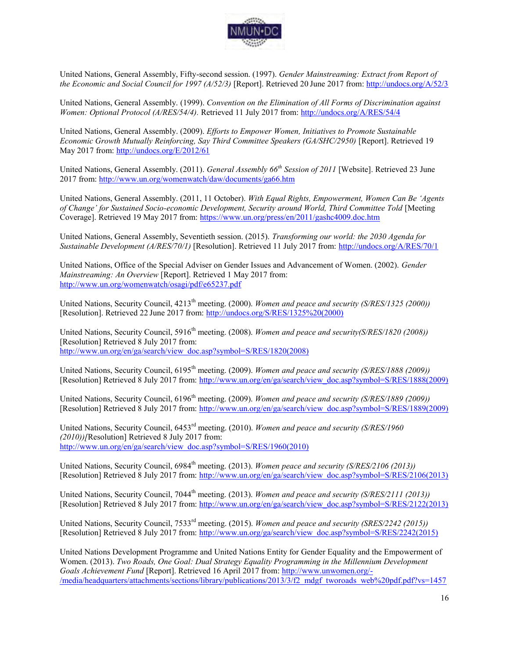

United Nations, General Assembly, Fifty-second session. (1997). *Gender Mainstreaming: Extract from Report of the Economic and Social Council for 1997 (A/52/3)* [Report]. Retrieved 20 June 2017 from:<http://undocs.org/A/52/3>

United Nations, General Assembly. (1999). *Convention on the Elimination of All Forms of Discrimination against Women: Optional Protocol (A/RES/54/4).* Retrieved 11 July 2017 from:<http://undocs.org/A/RES/54/4>

United Nations, General Assembly. (2009). *Efforts to Empower Women, Initiatives to Promote Sustainable Economic Growth Mutually Reinforcing, Say Third Committee Speakers (GA/SHC/2950)* [Report]. Retrieved 19 May 2017 from:<http://undocs.org/E/2012/61>

United Nations, General Assembly. (2011). *General Assembly 66th Session of 2011* [Website]. Retrieved 23 June 2017 from:<http://www.un.org/womenwatch/daw/documents/ga66.htm>

United Nations, General Assembly. (2011, 11 October). *With Equal Rights, Empowerment, Women Can Be 'Agents of Change' for Sustained Socio-economic Development, Security around World, Third Committee Told* [Meeting Coverage]. Retrieved 19 May 2017 from:<https://www.un.org/press/en/2011/gashc4009.doc.htm>

United Nations, General Assembly, Seventieth session. (2015). *Transforming our world: the 2030 Agenda for Sustainable Development (A/RES/70/1)* [Resolution]. Retrieved 11 July 2017 from:<http://undocs.org/A/RES/70/1>

United Nations, Office of the Special Adviser on Gender Issues and Advancement of Women. (2002). *Gender Mainstreaming: An Overview* [Report]. Retrieved 1 May 2017 from: <http://www.un.org/womenwatch/osagi/pdf/e65237.pdf>

United Nations, Security Council, 4213<sup>th</sup> meeting. (2000). *Women and peace and security (S/RES/1325 (2000))* [Resolution]. Retrieved 22 June 2017 from: [http://undocs.org/S/RES/1325%20\(2000\)](http://undocs.org/S/RES/1325%20(2000)) 

United Nations, Security Council, 5916<sup>th</sup> meeting. (2008). *Women and peace and security(S/RES/1820 (2008))* [Resolution] Retrieved 8 July 2017 from: http://www.un.org/en/ga/search/view\_doc.asp?symbol=S/RES/1820(2008)

United Nations, Security Council, 6195<sup>th</sup> meeting. (2009). *Women and peace and security (S/RES/1888 (2009))* [Resolution] Retrieved 8 July 2017 from: [http://www.un.org/en/ga/search/view\\_doc.asp?symbol=S/RES/1888\(2009\)](http://www.un.org/en/ga/search/view_doc.asp?symbol=S/RES/1888(2009)) 

United Nations, Security Council, 6196<sup>th</sup> meeting. (2009). *Women and peace and security (S/RES/1889 (2009)*) [Resolution] Retrieved 8 July 2017 from: http://www.un.org/en/ga/search/view\_doc.asp?symbol=S/RES/1889(2009)

United Nations, Security Council, 6453rd meeting. (2010). *Women and peace and security (S/RES/1960 (2010))[*Resolution] Retrieved 8 July 2017 from: [http://www.un.org/en/ga/search/view\\_doc.asp?symbol=S/RES/1960\(2010\)](http://www.un.org/en/ga/search/view_doc.asp?symbol=S/RES/1960(2010)) 

United Nations, Security Council, 6984<sup>th</sup> meeting. (2013). *Women peace and security (S/RES/2106 (2013))* [Resolution] Retrieved 8 July 2017 from: [http://www.un.org/en/ga/search/view\\_doc.asp?symbol=S/RES/2106\(2013\)](http://www.un.org/en/ga/search/view_doc.asp?symbol=S/RES/2106(2013)) 

United Nations, Security Council, 7044<sup>th</sup> meeting. (2013). *Women and peace and security (S/RES/2111 (2013))* [Resolution] Retrieved 8 July 2017 from: [http://www.un.org/en/ga/search/view\\_doc.asp?symbol=S/RES/2122\(2013\)](http://www.un.org/en/ga/search/view_doc.asp?symbol=S/RES/2122(2013)) 

United Nations, Security Council, 7533rd meeting. (2015). *Women and peace and security (SRES/2242 (2015))*  [Resolution] Retrieved 8 July 2017 from: [http://www.un.org/ga/search/view\\_doc.asp?symbol=S/RES/2242\(2015\)](http://www.un.org/ga/search/view_doc.asp?symbol=S/RES/2242(2015)) 

United Nations Development Programme and United Nations Entity for Gender Equality and the Empowerment of Women. (2013). *Two Roads, One Goal: Dual Strategy Equality Programming in the Millennium Development Goals Achievement Fund* [Report]. Retrieved 16 April 2017 from: [http://www.unwomen.org/-](http://www.unwomen.org/-/media/headquarters/attachments/sections/library/publications/2013/3/f2_mdgf_tworoads_web%20pdf.pdf?vs=1457) [/media/headquarters/attachments/sections/library/publications/2013/3/f2\\_mdgf\\_tworoads\\_web%20pdf.pdf?vs=1457](http://www.unwomen.org/-/media/headquarters/attachments/sections/library/publications/2013/3/f2_mdgf_tworoads_web%20pdf.pdf?vs=1457)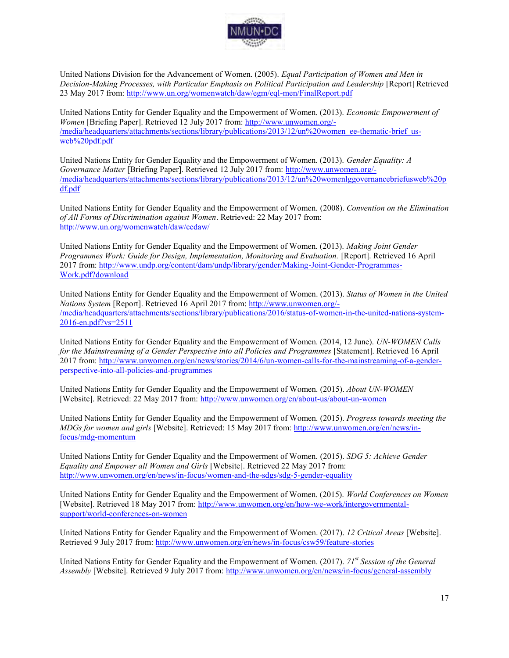

United Nations Division for the Advancement of Women. (2005). *Equal Participation of Women and Men in Decision-Making Processes, with Particular Emphasis on Political Participation and Leadership* [Report] Retrieved 23 May 2017 from:<http://www.un.org/womenwatch/daw/egm/eql-men/FinalReport.pdf>

United Nations Entity for Gender Equality and the Empowerment of Women. (2013). *Economic Empowerment of Women* [Briefing Paper]. Retrieved 12 July 2017 from: [http://www.unwomen.org/-](http://www.unwomen.org/-/media/headquarters/attachments/sections/library/publications/2013/12/un%20women_ee-thematic-brief_us-web%20pdf.pdf) [/media/headquarters/attachments/sections/library/publications/2013/12/un%20women\\_ee-thematic-brief\\_us](http://www.unwomen.org/-/media/headquarters/attachments/sections/library/publications/2013/12/un%20women_ee-thematic-brief_us-web%20pdf.pdf)[web%20pdf.pdf](http://www.unwomen.org/-/media/headquarters/attachments/sections/library/publications/2013/12/un%20women_ee-thematic-brief_us-web%20pdf.pdf) 

United Nations Entity for Gender Equality and the Empowerment of Women. (2013). *Gender Equality: A Governance Matter* [Briefing Paper]. Retrieved 12 July 2017 from: [http://www.unwomen.org/-](http://www.unwomen.org/-/media/headquarters/attachments/sections/library/publications/2013/12/un%20womenlggovernancebriefusweb%20pdf.pdf) [/media/headquarters/attachments/sections/library/publications/2013/12/un%20womenlggovernancebriefusweb%20p](http://www.unwomen.org/-/media/headquarters/attachments/sections/library/publications/2013/12/un%20womenlggovernancebriefusweb%20pdf.pdf) [df.pdf](http://www.unwomen.org/-/media/headquarters/attachments/sections/library/publications/2013/12/un%20womenlggovernancebriefusweb%20pdf.pdf) 

United Nations Entity for Gender Equality and the Empowerment of Women. (2008). *Convention on the Elimination of All Forms of Discrimination against Women*. Retrieved: 22 May 2017 from: <http://www.un.org/womenwatch/daw/cedaw/>

United Nations Entity for Gender Equality and the Empowerment of Women. (2013). *Making Joint Gender*  Programmes Work: Guide for Design, Implementation, Monitoring and Evaluation. [Report]. Retrieved 16 April 2017 from: [http://www.undp.org/content/dam/undp/library/gender/Making-Joint-Gender-Programmes-](http://www.undp.org/content/dam/undp/library/gender/Making-Joint-Gender-Programmes-Work.pdf?download)[Work.pdf?download](http://www.undp.org/content/dam/undp/library/gender/Making-Joint-Gender-Programmes-Work.pdf?download) 

United Nations Entity for Gender Equality and the Empowerment of Women. (2013). *Status of Women in the United Nations System* [Report]. Retrieved 16 April 2017 from: [http://www.unwomen.org/-](http://www.unwomen.org/-/media/headquarters/attachments/sections/library/publications/2016/status-of-women-in-the-united-nations-system-2016-en.pdf?vs=2511) [/media/headquarters/attachments/sections/library/publications/2016/status-of-women-in-the-united-nations-system-](http://www.unwomen.org/-/media/headquarters/attachments/sections/library/publications/2016/status-of-women-in-the-united-nations-system-2016-en.pdf?vs=2511)[2016-en.pdf?vs=2511](http://www.unwomen.org/-/media/headquarters/attachments/sections/library/publications/2016/status-of-women-in-the-united-nations-system-2016-en.pdf?vs=2511)

United Nations Entity for Gender Equality and the Empowerment of Women. (2014, 12 June). *UN-WOMEN Calls*  for the Mainstreaming of a Gender Perspective into all Policies and Programmes [Statement]. Retrieved 16 April 2017 from: [http://www.unwomen.org/en/news/stories/2014/6/un-women-calls-for-the-mainstreaming-of-a-gender](http://www.unwomen.org/en/news/stories/2014/6/un-women-calls-for-the-mainstreaming-of-a-gender-perspective-into-all-policies-and-programmes)[perspective-into-all-policies-and-programmes](http://www.unwomen.org/en/news/stories/2014/6/un-women-calls-for-the-mainstreaming-of-a-gender-perspective-into-all-policies-and-programmes)

United Nations Entity for Gender Equality and the Empowerment of Women. (2015). *About UN-WOMEN*  [Website]. Retrieved: 22 May 2017 from:<http://www.unwomen.org/en/about-us/about-un-women>

United Nations Entity for Gender Equality and the Empowerment of Women. (2015). *Progress towards meeting the MDGs for women and girls* [Website]. Retrieved: 15 May 2017 from: [http://www.unwomen.org/en/news/in](http://www.unwomen.org/en/news/in-focus/mdg-momentum)[focus/mdg-momentum](http://www.unwomen.org/en/news/in-focus/mdg-momentum) 

United Nations Entity for Gender Equality and the Empowerment of Women. (2015). *SDG 5: Achieve Gender Equality and Empower all Women and Girls* [Website]. Retrieved 22 May 2017 from: <http://www.unwomen.org/en/news/in-focus/women-and-the-sdgs/sdg-5-gender-equality>

United Nations Entity for Gender Equality and the Empowerment of Women. (2015). *World Conferences on Women*  [Website]. Retrieved 18 May 2017 from: [http://www.unwomen.org/en/how-we-work/intergovernmental](http://www.unwomen.org/en/how-we-work/intergovernmental-support/world-conferences-on-women)[support/world-conferences-on-women](http://www.unwomen.org/en/how-we-work/intergovernmental-support/world-conferences-on-women) 

United Nations Entity for Gender Equality and the Empowerment of Women. (2017). *12 Critical Areas* [Website]. Retrieved 9 July 2017 from:<http://www.unwomen.org/en/news/in-focus/csw59/feature-stories>

United Nations Entity for Gender Equality and the Empowerment of Women. (2017). *71st Session of the General Assembly* [Website]. Retrieved 9 July 2017 from:<http://www.unwomen.org/en/news/in-focus/general-assembly>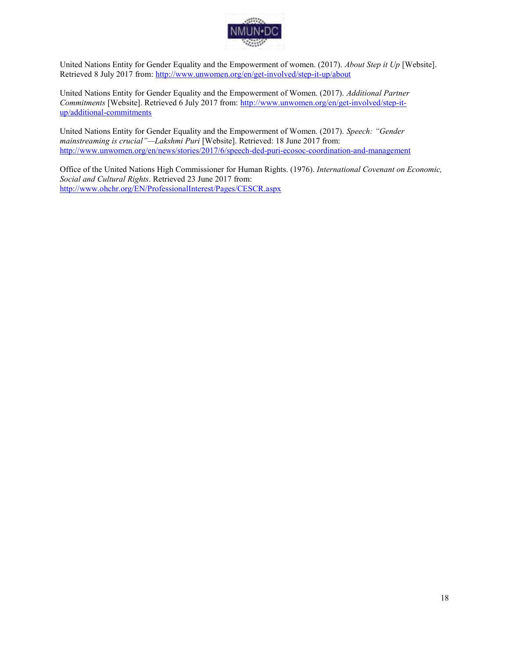

United Nations Entity for Gender Equality and the Empowerment of women. (2017). *About Step it Up* [Website]. Retrieved 8 July 2017 from:<http://www.unwomen.org/en/get-involved/step-it-up/about>

United Nations Entity for Gender Equality and the Empowerment of Women. (2017). *Additional Partner Commitments* [Website]. Retrieved 6 July 2017 from: [http://www.unwomen.org/en/get-involved/step-it](http://www.unwomen.org/en/get-involved/step-it-up/additional-commitments)[up/additional-commitments](http://www.unwomen.org/en/get-involved/step-it-up/additional-commitments)

United Nations Entity for Gender Equality and the Empowerment of Women. (2017). *Speech: "Gender mainstreaming is crucial"—Lakshmi Puri* [Website]. Retrieved: 18 June 2017 from: <http://www.unwomen.org/en/news/stories/2017/6/speech-ded-puri-ecosoc-coordination-and-management>

Office of the United Nations High Commissioner for Human Rights. (1976). *International Covenant on Economic, Social and Cultural Rights*. Retrieved 23 June 2017 from: <http://www.ohchr.org/EN/ProfessionalInterest/Pages/CESCR.aspx>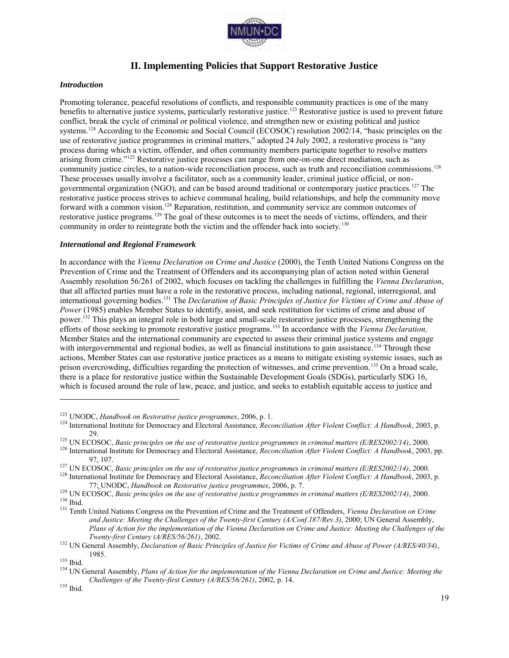

# **II. Implementing Policies that Support Restorative Justice**

#### *Introduction*

Promoting tolerance, peaceful resolutions of conflicts, and responsible community practices is one of the many benefits to alternative justice systems, particularly restorative justice.<sup>123</sup> Restorative justice is used to prevent future conflict, break the cycle of criminal or political violence, and strengthen new or existing political and justice systems.<sup>124</sup> According to the Economic and Social Council (ECOSOC) resolution 2002/14, "basic principles on the use of restorative justice programmes in criminal matters," adopted 24 July 2002, a restorative process is "any process during which a victim, offender, and often community members participate together to resolve matters arising from crime."<sup>125</sup> Restorative justice processes can range from one-on-one direct mediation, such as community justice circles, to a nation-wide reconciliation process, such as truth and reconciliation commissions.<sup>126</sup> These processes usually involve a facilitator, such as a community leader, criminal justice official, or nongovernmental organization (NGO), and can be based around traditional or contemporary justice practices.<sup>127</sup> The restorative justice process strives to achieve communal healing, build relationships, and help the community move forward with a common vision.<sup>128</sup> Reparation, restitution, and community service are common outcomes of restorative justice programs.<sup>129</sup> The goal of these outcomes is to meet the needs of victims, offenders, and their community in order to reintegrate both the victim and the offender back into society.<sup>130</sup>

#### *International and Regional Framework*

In accordance with the *Vienna Declaration on Crime and Justice* (2000), the Tenth United Nations Congress on the Prevention of Crime and the Treatment of Offenders and its accompanying plan of action noted within General Assembly resolution 56/261 of 2002, which focuses on tackling the challenges in fulfilling the *Vienna Declaration*, that all affected parties must have a role in the restorative process, including national, regional, interregional, and international governing bodies.<sup>131</sup> The *Declaration of Basic Principles of Justice for Victims of Crime and Abuse of Power* (1985) enables Member States to identify, assist, and seek restitution for victims of crime and abuse of power.<sup>132</sup> This plays an integral role in both large and small-scale restorative justice processes, strengthening the efforts of those seeking to promote restorative justice programs.<sup>133</sup> In accordance with the *Vienna Declaration,*  Member States and the international community are expected to assess their criminal justice systems and engage with intergovernmental and regional bodies, as well as financial institutions to gain assistance.<sup>134</sup> Through these actions, Member States can use restorative justice practices as a means to mitigate existing systemic issues, such as prison overcrowding, difficulties regarding the protection of witnesses, and crime prevention.<sup>135</sup> On a broad scale, there is a place for restorative justice within the Sustainable Development Goals (SDGs), particularly SDG 16, which is focused around the rule of law, peace, and justice, and seeks to establish equitable access to justice and

<sup>123</sup> UNODC, *Handbook on Restorative justice programmes*, 2006, p. 1.

<sup>124</sup> International Institute for Democracy and Electoral Assistance, *Reconciliation After Violent Conflict: A Handbook*, 2003, p. 29.

<sup>125</sup> UN ECOSOC, *Basic principles on the use of restorative justice programmes in criminal matters (E/RES2002/14)*, 2000.

<sup>126</sup> International Institute for Democracy and Electoral Assistance, *Reconciliation After Violent Conflict: A Handbook*, 2003, pp. 97, 107.

<sup>127</sup> UN ECOSOC, *Basic principles on the use of restorative justice programmes in criminal matters (E/RES2002/14)*, 2000.

<sup>128</sup> International Institute for Democracy and Electoral Assistance, *Reconciliation After Violent Conflict: A Handbook*, 2003, p. 77; UNODC, *Handbook on Restorative justice programmes*, 2006, p. 7.

<sup>129</sup> UN ECOSOC, *Basic principles on the use of restorative justice programmes in criminal matters (E/RES2002/14)*, 2000.

 $130$  Ibid.

<sup>131</sup> Tenth United Nations Congress on the Prevention of Crime and the Treatment of Offenders, *Vienna Declaration on Crime and Justice: Meeting the Challenges of the Twenty-first Century (A/Conf.187/Rev.3)*, 2000; UN General Assembly, *Plans of Action for the implementation of the Vienna Declaration on Crime and Justice: Meeting the Challenges of the Twenty-first Century (A/RES/56/261)*, 2002.

<sup>132</sup> UN General Assembly, *Declaration of Basic Principles of Justice for Victims of Crime and Abuse of Power (A/RES/40/34)*, 1985.

<sup>133</sup> Ibid.

<sup>134</sup> UN General Assembly, *Plans of Action for the implementation of the Vienna Declaration on Crime and Justice: Meeting the Challenges of the Twenty-first Century (A/RES/56/261)*, 2002, p. 14.

<sup>135</sup> Ibid.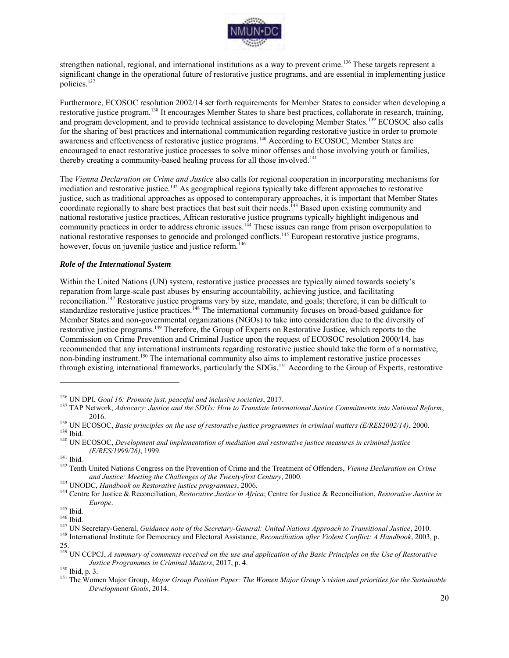

strengthen national, regional, and international institutions as a way to prevent crime.<sup>136</sup> These targets represent a significant change in the operational future of restorative justice programs, and are essential in implementing justice policies.<sup>137</sup>

Furthermore, ECOSOC resolution 2002/14 set forth requirements for Member States to consider when developing a restorative justice program.<sup>138</sup> It encourages Member States to share best practices, collaborate in research, training, and program development, and to provide technical assistance to developing Member States.<sup>139</sup> ECOSOC also calls for the sharing of best practices and international communication regarding restorative justice in order to promote awareness and effectiveness of restorative justice programs.<sup>140</sup> According to ECOSOC, Member States are encouraged to enact restorative justice processes to solve minor offenses and those involving youth or families, thereby creating a community-based healing process for all those involved.<sup>141</sup>

The *Vienna Declaration on Crime and Justice* also calls for regional cooperation in incorporating mechanisms for mediation and restorative justice.<sup>142</sup> As geographical regions typically take different approaches to restorative justice, such as traditional approaches as opposed to contemporary approaches, it is important that Member States coordinate regionally to share best practices that best suit their needs.<sup>143</sup> Based upon existing community and national restorative justice practices, African restorative justice programs typically highlight indigenous and community practices in order to address chronic issues.<sup>144</sup> These issues can range from prison overpopulation to national restorative responses to genocide and prolonged conflicts.<sup>145</sup> European restorative justice programs, however, focus on juvenile justice and justice reform.<sup>146</sup>

#### *Role of the International System*

Within the United Nations (UN) system, restorative justice processes are typically aimed towards society's reparation from large-scale past abuses by ensuring accountability, achieving justice, and facilitating reconciliation.<sup>147</sup> Restorative justice programs vary by size, mandate, and goals; therefore, it can be difficult to standardize restorative justice practices.<sup>148</sup> The international community focuses on broad-based guidance for Member States and non-governmental organizations (NGOs) to take into consideration due to the diversity of restorative justice programs.<sup>149</sup> Therefore, the Group of Experts on Restorative Justice, which reports to the Commission on Crime Prevention and Criminal Justice upon the request of ECOSOC resolution 2000/14, has recommended that any international instruments regarding restorative justice should take the form of a normative, non-binding instrument.<sup>150</sup> The international community also aims to implement restorative justice processes through existing international frameworks, particularly the SDGs.<sup>151</sup> According to the Group of Experts, restorative

<sup>136</sup> UN DPI, *Goal 16: Promote just, peaceful and inclusive societies*, 2017.

<sup>137</sup> TAP Network, *Advocacy: Justice and the SDGs: How to Translate International Justice Commitments into National Reform*, 2016.

<sup>138</sup> UN ECOSOC, *Basic principles on the use of restorative justice programmes in criminal matters (E/RES2002/14)*, 2000. <sup>139</sup> Ibid.

<sup>140</sup> UN ECOSOC, *Development and implementation of mediation and restorative justice measures in criminal justice (E/RES/1999/26)*, 1999.

<sup>&</sup>lt;sup>141</sup> Ibid.

<sup>142</sup> Tenth United Nations Congress on the Prevention of Crime and the Treatment of Offenders, *Vienna Declaration on Crime and Justice: Meeting the Challenges of the Twenty-first Century*, 2000.

<sup>143</sup> UNODC, *Handbook on Restorative justice programmes*, 2006.

<sup>144</sup> Centre for Justice & Reconciliation, *Restorative Justice in Africa*; Centre for Justice & Reconciliation, *Restorative Justice in Europe*.

<sup>145</sup> Ibid.

<sup>146</sup> Ibid.

<sup>147</sup> UN Secretary-General, *Guidance note of the Secretary-General: United Nations Approach to Transitional Justice*, 2010.

<sup>148</sup> International Institute for Democracy and Electoral Assistance, *Reconciliation after Violent Conflict: A Handbook*, 2003, p. 25.

<sup>149</sup> UN CCPCJ, *A summary of comments received on the use and application of the Basic Principles on the Use of Restorative Justice Programmes in Criminal Matters*, 2017, p. 4.

<sup>150</sup> Ibid, p. 3.

<sup>151</sup> The Women Major Group, *Major Group Position Paper: The Women Major Group's vision and priorities for the Sustainable Development Goals*, 2014.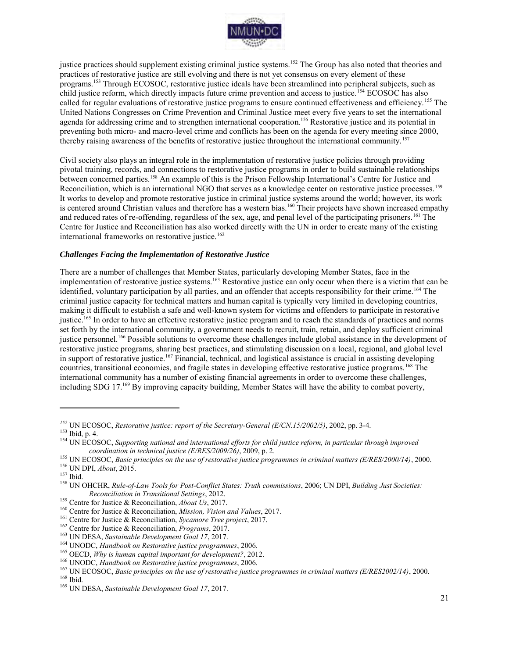

justice practices should supplement existing criminal justice systems.<sup>152</sup> The Group has also noted that theories and practices of restorative justice are still evolving and there is not yet consensus on every element of these programs.<sup>153</sup> Through ECOSOC, restorative justice ideals have been streamlined into peripheral subjects, such as child justice reform, which directly impacts future crime prevention and access to justice.<sup>154</sup> ECOSOC has also called for regular evaluations of restorative justice programs to ensure continued effectiveness and efficiency.<sup>155</sup> The United Nations Congresses on Crime Prevention and Criminal Justice meet every five years to set the international agenda for addressing crime and to strengthen international cooperation.<sup>156</sup> Restorative justice and its potential in preventing both micro- and macro-level crime and conflicts has been on the agenda for every meeting since 2000, thereby raising awareness of the benefits of restorative justice throughout the international community.<sup>157</sup>

Civil society also plays an integral role in the implementation of restorative justice policies through providing pivotal training, records, and connections to restorative justice programs in order to build sustainable relationships between concerned parties.<sup>158</sup> An example of this is the Prison Fellowship International's Centre for Justice and Reconciliation, which is an international NGO that serves as a knowledge center on restorative justice processes.<sup>159</sup> It works to develop and promote restorative justice in criminal justice systems around the world; however, its work is centered around Christian values and therefore has a western bias.<sup>160</sup> Their projects have shown increased empathy and reduced rates of re-offending, regardless of the sex, age, and penal level of the participating prisoners.<sup>161</sup> The Centre for Justice and Reconciliation has also worked directly with the UN in order to create many of the existing international frameworks on restorative justice.<sup>162</sup>

#### *Challenges Facing the Implementation of Restorative Justice*

There are a number of challenges that Member States, particularly developing Member States, face in the implementation of restorative justice systems.<sup>163</sup> Restorative justice can only occur when there is a victim that can be identified, voluntary participation by all parties, and an offender that accepts responsibility for their crime.<sup>164</sup> The criminal justice capacity for technical matters and human capital is typically very limited in developing countries, making it difficult to establish a safe and well-known system for victims and offenders to participate in restorative justice.<sup>165</sup> In order to have an effective restorative justice program and to reach the standards of practices and norms set forth by the international community, a government needs to recruit, train, retain, and deploy sufficient criminal justice personnel.<sup>166</sup> Possible solutions to overcome these challenges include global assistance in the development of restorative justice programs, sharing best practices, and stimulating discussion on a local, regional, and global level in support of restorative justice.<sup>167</sup> Financial, technical, and logistical assistance is crucial in assisting developing countries, transitional economies, and fragile states in developing effective restorative justice programs.<sup>168</sup> The international community has a number of existing financial agreements in order to overcome these challenges, including SDG 17.<sup>169</sup> By improving capacity building, Member States will have the ability to combat poverty,

*<sup>152</sup>* UN ECOSOC, *Restorative justice: report of the Secretary-General (E/CN.15/2002/5)*, 2002, pp. 3-4.

<sup>153</sup> Ibid, p. 4.

<sup>154</sup> UN ECOSOC, *Supporting national and international efforts for child justice reform, in particular through improved coordination in technical justice (E/RES/2009/26)*, 2009, p. 2.

<sup>155</sup> UN ECOSOC, *Basic principles on the use of restorative justice programmes in criminal matters (E/RES/2000/14)*, 2000. <sup>156</sup> UN DPI, *About*, 2015.

<sup>157</sup> Ibid.

<sup>158</sup> UN OHCHR, *Rule-of-Law Tools for Post-Conflict States: Truth commissions*, 2006; UN DPI, *Building Just Societies: Reconciliation in Transitional Settings*, 2012.

<sup>159</sup> Centre for Justice & Reconciliation, *About Us*, 2017.

<sup>160</sup> Centre for Justice & Reconciliation, *Mission, Vision and Values*, 2017.

<sup>161</sup> Centre for Justice & Reconciliation, *Sycamore Tree project*, 2017.

<sup>162</sup> Centre for Justice & Reconciliation, *Programs*, 2017.

<sup>163</sup> UN DESA, *Sustainable Development Goal 17*, 2017.

<sup>164</sup> UNODC, *Handbook on Restorative justice programmes*, 2006.

<sup>165</sup> OECD, *Why is human capital important for development?*, 2012.

<sup>166</sup> UNODC, *Handbook on Restorative justice programmes*, 2006.

<sup>167</sup> UN ECOSOC, *Basic principles on the use of restorative justice programmes in criminal matters (E/RES2002/14)*, 2000. <sup>168</sup> Ibid.

<sup>169</sup> UN DESA, *Sustainable Development Goal 17*, 2017.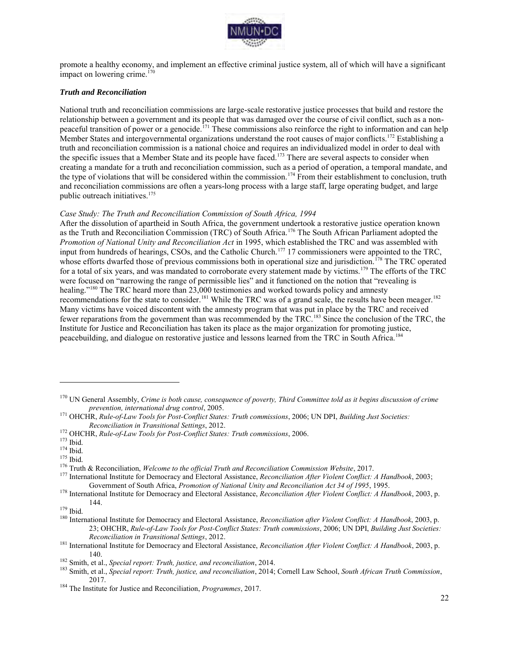

promote a healthy economy, and implement an effective criminal justice system, all of which will have a significant impact on lowering crime.<sup>170</sup>

#### *Truth and Reconciliation*

National truth and reconciliation commissions are large-scale restorative justice processes that build and restore the relationship between a government and its people that was damaged over the course of civil conflict, such as a nonpeaceful transition of power or a genocide.<sup>171</sup> These commissions also reinforce the right to information and can help Member States and intergovernmental organizations understand the root causes of major conflicts.<sup>172</sup> Establishing a truth and reconciliation commission is a national choice and requires an individualized model in order to deal with the specific issues that a Member State and its people have faced.<sup>173</sup> There are several aspects to consider when creating a mandate for a truth and reconciliation commission, such as a period of operation, a temporal mandate, and the type of violations that will be considered within the commission.<sup>174</sup> From their establishment to conclusion, truth and reconciliation commissions are often a years-long process with a large staff, large operating budget, and large public outreach initiatives.<sup>175</sup>

#### *Case Study: The Truth and Reconciliation Commission of South Africa, 1994*

After the dissolution of apartheid in South Africa, the government undertook a restorative justice operation known as the Truth and Reconciliation Commission (TRC) of South Africa.<sup>176</sup> The South African Parliament adopted the *Promotion of National Unity and Reconciliation Act* in 1995, which established the TRC and was assembled with input from hundreds of hearings, CSOs, and the Catholic Church.<sup>177</sup> 17 commissioners were appointed to the TRC, whose efforts dwarfed those of previous commissions both in operational size and jurisdiction.<sup>178</sup> The TRC operated for a total of six years, and was mandated to corroborate every statement made by victims.<sup>179</sup> The efforts of the TRC were focused on "narrowing the range of permissible lies" and it functioned on the notion that "revealing is healing."<sup>180</sup> The TRC heard more than 23,000 testimonies and worked towards policy and amnesty recommendations for the state to consider.<sup>181</sup> While the TRC was of a grand scale, the results have been meager.<sup>182</sup> Many victims have voiced discontent with the amnesty program that was put in place by the TRC and received fewer reparations from the government than was recommended by the TRC.<sup>183</sup> Since the conclusion of the TRC, the Institute for Justice and Reconciliation has taken its place as the major organization for promoting justice, peacebuilding, and dialogue on restorative justice and lessons learned from the TRC in South Africa.<sup>184</sup>

<sup>170</sup> UN General Assembly, *Crime is both cause, consequence of poverty, Third Committee told as it begins discussion of crime prevention, international drug control*, 2005.

<sup>171</sup> OHCHR, *Rule-of-Law Tools for Post-Conflict States: Truth commissions*, 2006; UN DPI, *Building Just Societies: Reconciliation in Transitional Settings*, 2012.

<sup>172</sup> OHCHR, *Rule-of-Law Tools for Post-Conflict States: Truth commissions*, 2006.

<sup>173</sup> Ibid.

<sup>174</sup> Ibid.

 $175$  Ibid.

<sup>176</sup> Truth & Reconciliation, *Welcome to the official Truth and Reconciliation Commission Website*, 2017.

<sup>177</sup> International Institute for Democracy and Electoral Assistance, *Reconciliation After Violent Conflict: A Handbook*, 2003; Government of South Africa, *Promotion of National Unity and Reconciliation Act 34 of 1995*, 1995.

<sup>178</sup> International Institute for Democracy and Electoral Assistance, *Reconciliation After Violent Conflict: A Handbook*, 2003, p. 144.

 $179$  Ibid.

<sup>180</sup> International Institute for Democracy and Electoral Assistance, *Reconciliation after Violent Conflict: A Handbook*, 2003, p. 23; OHCHR, *Rule-of-Law Tools for Post-Conflict States: Truth commissions*, 2006; UN DPI, *Building Just Societies: Reconciliation in Transitional Settings*, 2012.

<sup>181</sup> International Institute for Democracy and Electoral Assistance, *Reconciliation After Violent Conflict: A Handbook*, 2003, p. 140.

<sup>182</sup> Smith, et al., *Special report: Truth, justice, and reconciliation*, 2014.

<sup>183</sup> Smith, et al., *Special report: Truth, justice, and reconciliation*, 2014; Cornell Law School, *South African Truth Commission*, 2017.

<sup>184</sup> The Institute for Justice and Reconciliation, *Programmes*, 2017.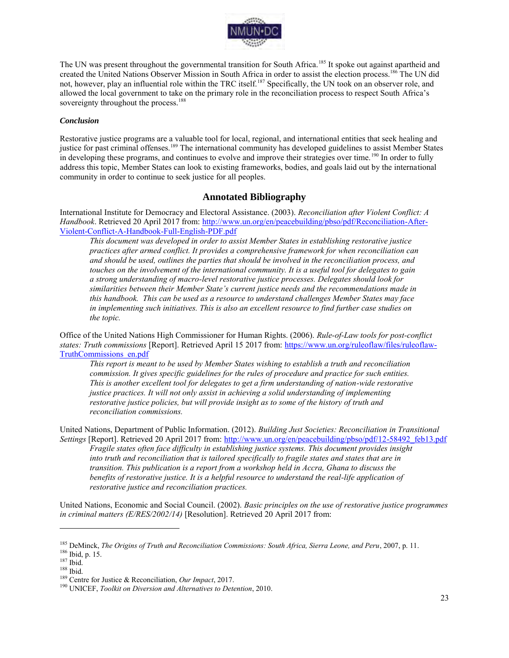

The UN was present throughout the governmental transition for South Africa.<sup>185</sup> It spoke out against apartheid and created the United Nations Observer Mission in South Africa in order to assist the election process.<sup>186</sup> The UN did not, however, play an influential role within the TRC itself.<sup>187</sup> Specifically, the UN took on an observer role, and allowed the local government to take on the primary role in the reconciliation process to respect South Africa's sovereignty throughout the process.<sup>188</sup>

#### *Conclusion*

Restorative justice programs are a valuable tool for local, regional, and international entities that seek healing and justice for past criminal offenses.<sup>189</sup> The international community has developed guidelines to assist Member States in developing these programs, and continues to evolve and improve their strategies over time.<sup>190</sup> In order to fully address this topic, Member States can look to existing frameworks, bodies, and goals laid out by the international community in order to continue to seek justice for all peoples.

### **Annotated Bibliography**

International Institute for Democracy and Electoral Assistance. (2003). *Reconciliation after Violent Conflict: A Handbook*. Retrieved 20 April 2017 from: [http://www.un.org/en/peacebuilding/pbso/pdf/Reconciliation-After-](http://www.un.org/en/peacebuilding/pbso/pdf/Reconciliation-After-Violent-Conflict-A-Handbook-Full-English-PDF.pdf)[Violent-Conflict-A-Handbook-Full-English-PDF.pdf](http://www.un.org/en/peacebuilding/pbso/pdf/Reconciliation-After-Violent-Conflict-A-Handbook-Full-English-PDF.pdf)

*This document was developed in order to assist Member States in establishing restorative justice practices after armed conflict. It provides a comprehensive framework for when reconciliation can and should be used, outlines the parties that should be involved in the reconciliation process, and touches on the involvement of the international community. It is a useful tool for delegates to gain a strong understanding of macro-level restorative justice processes. Delegates should look for similarities between their Member State's current justice needs and the recommendations made in this handbook. This can be used as a resource to understand challenges Member States may face in implementing such initiatives. This is also an excellent resource to find further case studies on the topic.* 

Office of the United Nations High Commissioner for Human Rights. (2006). *Rule-of-Law tools for post-conflict states: Truth commissions* [Report]. Retrieved April 15 2017 from: [https://www.un.org/ruleoflaw/files/ruleoflaw-](https://www.un.org/ruleoflaw/files/ruleoflaw-TruthCommissions_en.pdf)[TruthCommissions\\_en.pdf](https://www.un.org/ruleoflaw/files/ruleoflaw-TruthCommissions_en.pdf)

*This report is meant to be used by Member States wishing to establish a truth and reconciliation commission. It gives specific guidelines for the rules of procedure and practice for such entities. This is another excellent tool for delegates to get a firm understanding of nation-wide restorative justice practices. It will not only assist in achieving a solid understanding of implementing restorative justice policies, but will provide insight as to some of the history of truth and reconciliation commissions.* 

United Nations, Department of Public Information. (2012). *Building Just Societies: Reconciliation in Transitional Settings* [Report]. Retrieved 20 April 2017 from: [http://www.un.org/en/peacebuilding/pbso/pdf/12-58492\\_feb13.pdf](http://www.un.org/en/peacebuilding/pbso/pdf/12-58492_feb13.pdf) 

*Fragile states often face difficulty in establishing justice systems. This document provides insight into truth and reconciliation that is tailored specifically to fragile states and states that are in transition. This publication is a report from a workshop held in Accra, Ghana to discuss the benefits of restorative justice. It is a helpful resource to understand the real-life application of restorative justice and reconciliation practices.* 

United Nations, Economic and Social Council. (2002). *Basic principles on the use of restorative justice programmes in criminal matters (E/RES/2002/14)* [Resolution]. Retrieved 20 April 2017 from:

<sup>185</sup> DeMinck, *The Origins of Truth and Reconciliation Commissions: South Africa, Sierra Leone, and Peru*, 2007, p. 11.

<sup>186</sup> Ibid, p. 15.

<sup>187</sup> Ibid.

<sup>188</sup> Ibid.

<sup>189</sup> Centre for Justice & Reconciliation, *Our Impact*, 2017.

<sup>190</sup> UNICEF, *Toolkit on Diversion and Alternatives to Detention*, 2010.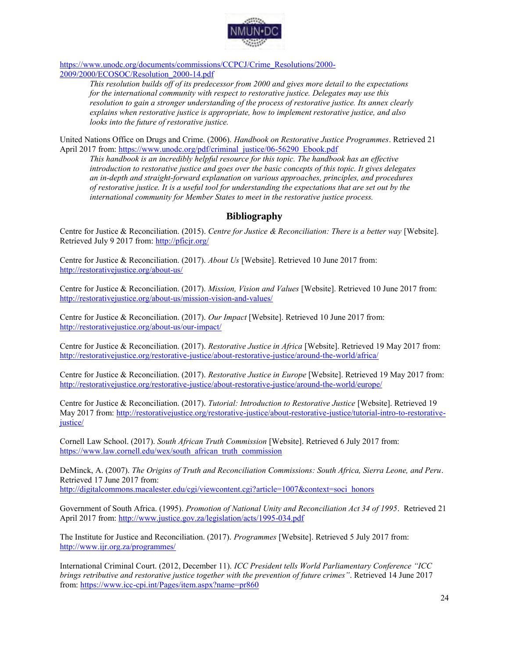

[https://www.unodc.org/documents/commissions/CCPCJ/Crime\\_Resolutions/2000-](https://www.unodc.org/documents/commissions/CCPCJ/Crime_Resolutions/2000-2009/2000/ECOSOC/Resolution_2000-14.pdf) [2009/2000/ECOSOC/Resolution\\_2000-14.pdf](https://www.unodc.org/documents/commissions/CCPCJ/Crime_Resolutions/2000-2009/2000/ECOSOC/Resolution_2000-14.pdf) 

> *This resolution builds off of its predecessor from 2000 and gives more detail to the expectations for the international community with respect to restorative justice. Delegates may use this resolution to gain a stronger understanding of the process of restorative justice. Its annex clearly explains when restorative justice is appropriate, how to implement restorative justice, and also looks into the future of restorative justice.*

United Nations Office on Drugs and Crime. (2006). *Handbook on Restorative Justice Programmes*. Retrieved 21 April 2017 from: [https://www.unodc.org/pdf/criminal\\_justice/06-56290\\_Ebook.pdf](https://www.unodc.org/pdf/criminal_justice/06-56290_Ebook.pdf)

*This handbook is an incredibly helpful resource for this topic. The handbook has an effective introduction to restorative justice and goes over the basic concepts of this topic. It gives delegates an in-depth and straight-forward explanation on various approaches, principles, and procedures of restorative justice. It is a useful tool for understanding the expectations that are set out by the international community for Member States to meet in the restorative justice process.* 

# **Bibliography**

Centre for Justice & Reconciliation. (2015). *Centre for Justice & Reconciliation: There is a better way* [Website]. Retrieved July 9 2017 from:<http://pficjr.org/>

Centre for Justice & Reconciliation. (2017). *About Us* [Website]. Retrieved 10 June 2017 from: <http://restorativejustice.org/about-us/>

Centre for Justice & Reconciliation. (2017). *Mission, Vision and Values* [Website]. Retrieved 10 June 2017 from: <http://restorativejustice.org/about-us/mission-vision-and-values/>

Centre for Justice & Reconciliation. (2017). *Our Impact* [Website]. Retrieved 10 June 2017 from: <http://restorativejustice.org/about-us/our-impact/>

Centre for Justice & Reconciliation. (2017). *Restorative Justice in Africa* [Website]. Retrieved 19 May 2017 from: <http://restorativejustice.org/restorative-justice/about-restorative-justice/around-the-world/africa/>

Centre for Justice & Reconciliation. (2017). *Restorative Justice in Europe* [Website]. Retrieved 19 May 2017 from: <http://restorativejustice.org/restorative-justice/about-restorative-justice/around-the-world/europe/>

Centre for Justice & Reconciliation. (2017). *Tutorial: Introduction to Restorative Justice* [Website]. Retrieved 19 May 2017 from: [http://restorativejustice.org/restorative-justice/about-restorative-justice/tutorial-intro-to-restorative](http://restorativejustice.org/restorative-justice/about-restorative-justice/tutorial-intro-to-restorative-justice/)[justice/](http://restorativejustice.org/restorative-justice/about-restorative-justice/tutorial-intro-to-restorative-justice/)

Cornell Law School. (2017). *South African Truth Commission* [Website]. Retrieved 6 July 2017 from: [https://www.law.cornell.edu/wex/south\\_african\\_truth\\_commission](https://www.law.cornell.edu/wex/south_african_truth_commission) 

DeMinck, A. (2007). *The Origins of Truth and Reconciliation Commissions: South Africa, Sierra Leone, and Peru*. Retrieved 17 June 2017 from:

[http://digitalcommons.macalester.edu/cgi/viewcontent.cgi?article=1007&context=soci\\_honors](http://digitalcommons.macalester.edu/cgi/viewcontent.cgi?article=1007&context=soci_honors) 

Government of South Africa. (1995). *Promotion of National Unity and Reconciliation Act 34 of 1995*. Retrieved 21 April 2017 from:<http://www.justice.gov.za/legislation/acts/1995-034.pdf>

The Institute for Justice and Reconciliation. (2017). *Programmes* [Website]. Retrieved 5 July 2017 from: <http://www.ijr.org.za/programmes/>

International Criminal Court. (2012, December 11). *ICC President tells World Parliamentary Conference "ICC brings retributive and restorative justice together with the prevention of future crimes"*. Retrieved 14 June 2017 from[: https://www.icc-cpi.int/Pages/item.aspx?name=pr860](https://www.icc-cpi.int/Pages/item.aspx?name=pr860)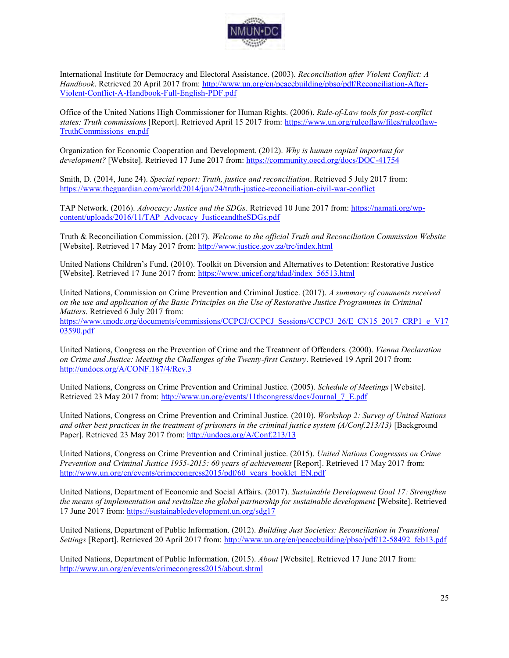

International Institute for Democracy and Electoral Assistance. (2003). *Reconciliation after Violent Conflict: A Handbook*. Retrieved 20 April 2017 from: [http://www.un.org/en/peacebuilding/pbso/pdf/Reconciliation-After-](http://www.un.org/en/peacebuilding/pbso/pdf/Reconciliation-After-Violent-Conflict-A-Handbook-Full-English-PDF.pdf)[Violent-Conflict-A-Handbook-Full-English-PDF.pdf](http://www.un.org/en/peacebuilding/pbso/pdf/Reconciliation-After-Violent-Conflict-A-Handbook-Full-English-PDF.pdf)

Office of the United Nations High Commissioner for Human Rights. (2006). *Rule-of-Law tools for post-conflict states: Truth commissions* [Report]. Retrieved April 15 2017 from: [https://www.un.org/ruleoflaw/files/ruleoflaw-](https://www.un.org/ruleoflaw/files/ruleoflaw-TruthCommissions_en.pdf)[TruthCommissions\\_en.pdf](https://www.un.org/ruleoflaw/files/ruleoflaw-TruthCommissions_en.pdf)

Organization for Economic Cooperation and Development. (2012). *Why is human capital important for development?* [Website]. Retrieved 17 June 2017 from:<https://community.oecd.org/docs/DOC-41754>

Smith, D. (2014, June 24). *Special report: Truth, justice and reconciliation*. Retrieved 5 July 2017 from: <https://www.theguardian.com/world/2014/jun/24/truth-justice-reconciliation-civil-war-conflict>

TAP Network. (2016). *Advocacy: Justice and the SDGs*. Retrieved 10 June 2017 from: [https://namati.org/wp](https://namati.org/wp-content/uploads/2016/11/TAP_Advocacy_JusticeandtheSDGs.pdf)[content/uploads/2016/11/TAP\\_Advocacy\\_JusticeandtheSDGs.pdf](https://namati.org/wp-content/uploads/2016/11/TAP_Advocacy_JusticeandtheSDGs.pdf)

Truth & Reconciliation Commission. (2017). *Welcome to the official Truth and Reconciliation Commission Website* [Website]. Retrieved 17 May 2017 from:<http://www.justice.gov.za/trc/index.html>

United Nations Children's Fund. (2010). Toolkit on Diversion and Alternatives to Detention: Restorative Justice [Website]. Retrieved 17 June 2017 from: [https://www.unicef.org/tdad/index\\_56513.html](https://www.unicef.org/tdad/index_56513.html)

United Nations, Commission on Crime Prevention and Criminal Justice. (2017). *A summary of comments received on the use and application of the Basic Principles on the Use of Restorative Justice Programmes in Criminal Matters*. Retrieved 6 July 2017 from:

[https://www.unodc.org/documents/commissions/CCPCJ/CCPCJ\\_Sessions/CCPCJ\\_26/E\\_CN15\\_2017\\_CRP1\\_e\\_V17](https://www.unodc.org/documents/commissions/CCPCJ/CCPCJ_Sessions/CCPCJ_26/E_CN15_2017_CRP1_e_V1703590.pdf) [03590.pdf](https://www.unodc.org/documents/commissions/CCPCJ/CCPCJ_Sessions/CCPCJ_26/E_CN15_2017_CRP1_e_V1703590.pdf) 

United Nations, Congress on the Prevention of Crime and the Treatment of Offenders. (2000). *Vienna Declaration on Crime and Justice: Meeting the Challenges of the Twenty-first Century*. Retrieved 19 April 2017 from: <http://undocs.org/A/CONF.187/4/Rev.3>

[United Nations, Congress on Crime Prevention and Criminal Justice. \(2005\).](http://www.un.org/events/11thcongress/docs/Journal_7_E.pdf) *Schedule of Meetings* [Website]. [Retrieved 23 May 2017 from: http://www.un.org/events/11thcongress/docs/Journal\\_7\\_E.pdf](http://www.un.org/events/11thcongress/docs/Journal_7_E.pdf)

United Nations, Congress on Crime Prevention and Criminal Justice. (2010). *Workshop 2: Survey of United Nations and other best practices in the treatment of prisoners in the criminal justice system (A/Conf.213/13)* [Background Paper]. Retrieved 23 May 2017 from:<http://undocs.org/A/Conf.213/13>

United Nations, Congress on Crime Prevention and Criminal justice. (2015). *United Nations Congresses on Crime Prevention and Criminal Justice 1955-2015: 60 years of achievement* [Report]. Retrieved 17 May 2017 from: [http://www.un.org/en/events/crimecongress2015/pdf/60\\_years\\_booklet\\_EN.pdf](http://www.un.org/en/events/crimecongress2015/pdf/60_years_booklet_EN.pdf)

United Nations, Department of Economic and Social Affairs. (2017). *Sustainable Development Goal 17: Strengthen the means of implementation and revitalize the global partnership for sustainable development* [Website]. Retrieved 17 June 2017 from:<https://sustainabledevelopment.un.org/sdg17>

United Nations, Department of Public Information. (2012). *Building Just Societies: Reconciliation in Transitional Settings* [Report]. Retrieved 20 April 2017 from: [http://www.un.org/en/peacebuilding/pbso/pdf/12-58492\\_feb13.pdf](http://www.un.org/en/peacebuilding/pbso/pdf/12-58492_feb13.pdf) 

United Nations, Department of Public Information. (2015). *About* [Website]. Retrieved 17 June 2017 from: <http://www.un.org/en/events/crimecongress2015/about.shtml>